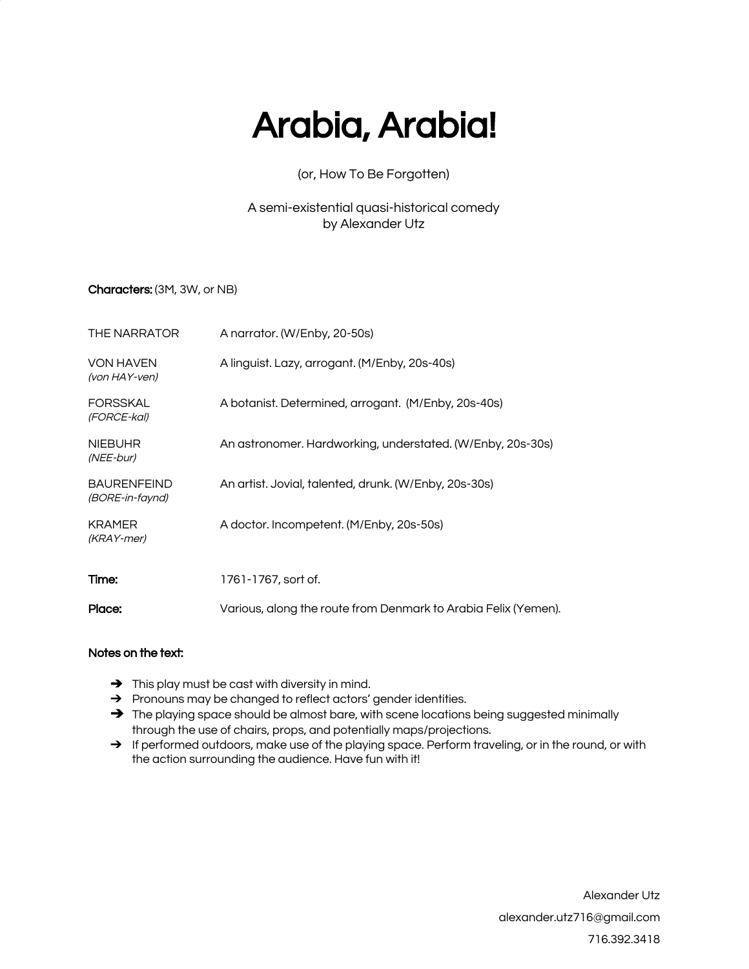# Arabia, Arabia!

# (or, How To Be Forgotten)

# A semi-existential quasi-historical comedy by Alexander Utz

# Characters: (3M, 3W, or NB)

| THE NARRATOR                          | A narrator. (W/Enby, 20-50s)                                   |
|---------------------------------------|----------------------------------------------------------------|
| <b>VON HAVEN</b><br>(von HAY-ven)     | A linguist. Lazy, arrogant. (M/Enby, 20s-40s)                  |
| <b>FORSSKAL</b><br>(FORCE-kal)        | A botanist. Determined, arrogant. (M/Enby, 20s-40s)            |
| <b>NIEBUHR</b><br>(NEE-bur)           | An astronomer. Hardworking, understated. (W/Enby, 20s-30s)     |
| <b>BAURENFEIND</b><br>(BORE-in-faynd) | An artist. Jovial, talented, drunk. (W/Enby, 20s-30s)          |
| <b>KRAMER</b><br>(KRAY-mer)           | A doctor. Incompetent. (M/Enby, 20s-50s)                       |
| Time:                                 | 1761-1767, sort of.                                            |
| Place:                                | Various, along the route from Denmark to Arabia Felix (Yemen). |

### Notes on the text:

- **→** This play must be cast with diversity in mind.
- → Pronouns may be changed to reflect actors' gender identities.
- → The playing space should be almost bare, with scene locations being suggested minimally through the use of chairs, props, and potentially maps/projections.
- → If performed outdoors, make use of the playing space. Perform traveling, or in the round, or with the action surrounding the audience. Have fun with it!

Alexander Utz [alexander.utz716@gmail.com](mailto:alexander.utz716@gmail.com) 716.392.3418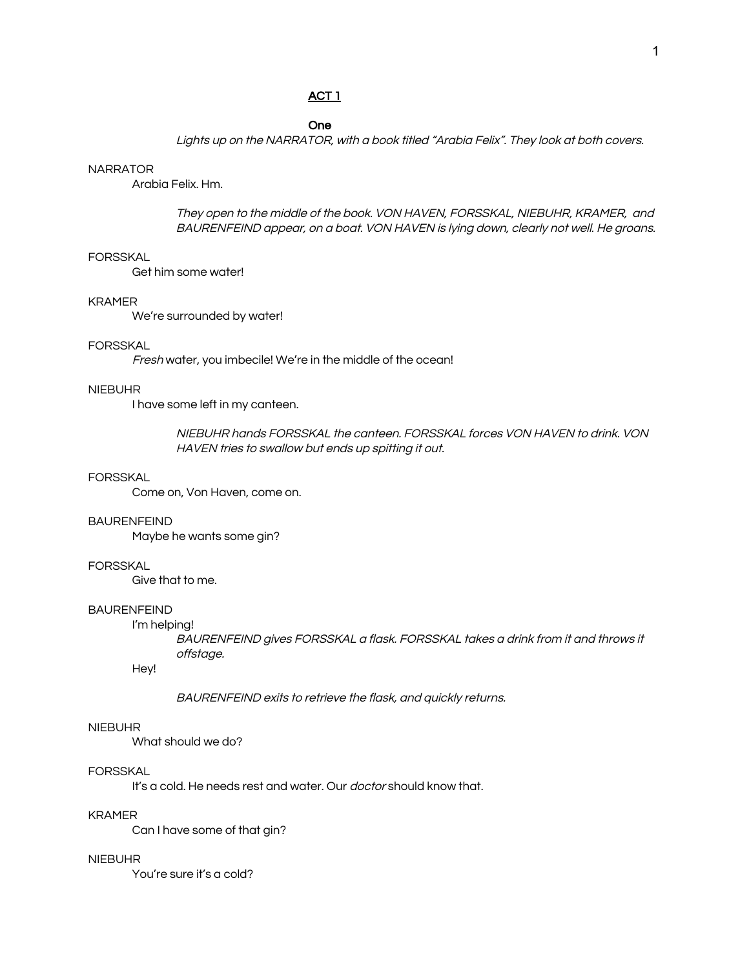# ACT 1

One

Lights up on the NARRATOR, with <sup>a</sup> book titled "Arabia Felix". They look at both covers.

#### **NARRATOR**

Arabia Felix. Hm.

They open to the middle of the book. VON HAVEN, FORSSKAL, NIEBUHR, KRAMER, and BAURENFEIND appear, on <sup>a</sup> boat. VON HAVEN is lying down, clearly not well. He groans.

### FORSSKAL

Get him some water!

#### KRAMER

We're surrounded by water!

#### FORSSKAL

Fresh water, you imbecile! We're in the middle of the ocean!

#### NIEBUHR

I have some left in my canteen.

NIEBUHR hands FORSSKAL the canteen. FORSSKAL forces VON HAVEN to drink. VON HAVEN tries to swallow but ends up spitting it out.

### FORSSKAL

Come on, Von Haven, come on.

#### BAURENFEIND

Maybe he wants some gin?

### FORSSKAL

Give that to me.

### BAURENFEIND

I'm helping!

BAURENFEIND gives FORSSKAL <sup>a</sup> flask. FORSSKAL takes <sup>a</sup> drink from it and throws it offstage.

Hey!

BAURENFEIND exits to retrieve the flask, and quickly returns.

### NIEBUHR

What should we do?

#### FORSSKAL

It's a cold. He needs rest and water. Our *doctor* should know that.

### KRAMER

Can I have some of that gin?

#### NIEBUHR

You're sure it's a cold?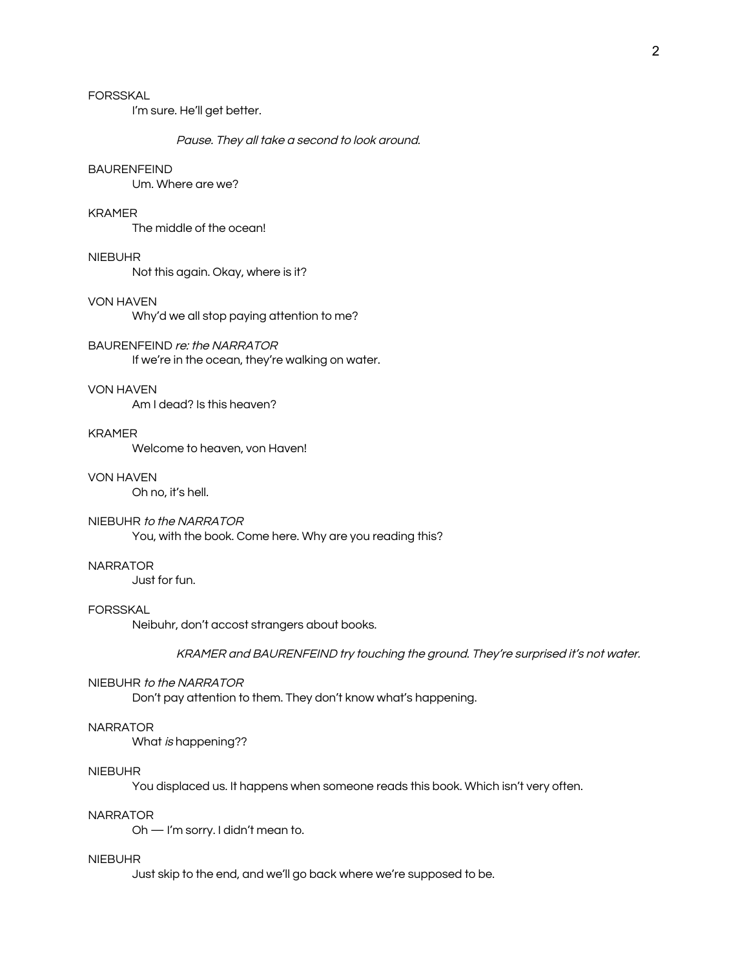# FORSSKAL

I'm sure. He'll get better.

#### Pause. They all take <sup>a</sup> second to look around.

### BAURENFEIND

Um. Where are we?

### KRAMER

The middle of the ocean!

### NIEBUHR

Not this again. Okay, where is it?

#### VON HAVEN

Why'd we all stop paying attention to me?

BAURENFEIND re: the NARRATOR If we're in the ocean, they're walking on water.

#### VON HAVEN

Am I dead? Is this heaven?

#### KRAMER

Welcome to heaven, von Haven!

### VON HAVEN

Oh no, it's hell.

# NIEBUHR to the NARRATOR

You, with the book. Come here. Why are you reading this?

### **NARRATOR**

Just for fun.

### FORSSKAL

Neibuhr, don't accost strangers about books.

KRAMER and BAURENFEIND try touching the ground. They're surprised it's not water.

#### NIEBUHR to the NARRATOR

Don't pay attention to them. They don't know what's happening.

### **NARRATOR**

What is happening??

#### NIEBUHR

You displaced us. It happens when someone reads this book. Which isn't very often.

### NARRATOR

Oh — I'm sorry. I didn't mean to.

#### NIEBUHR

Just skip to the end, and we'll go back where we're supposed to be.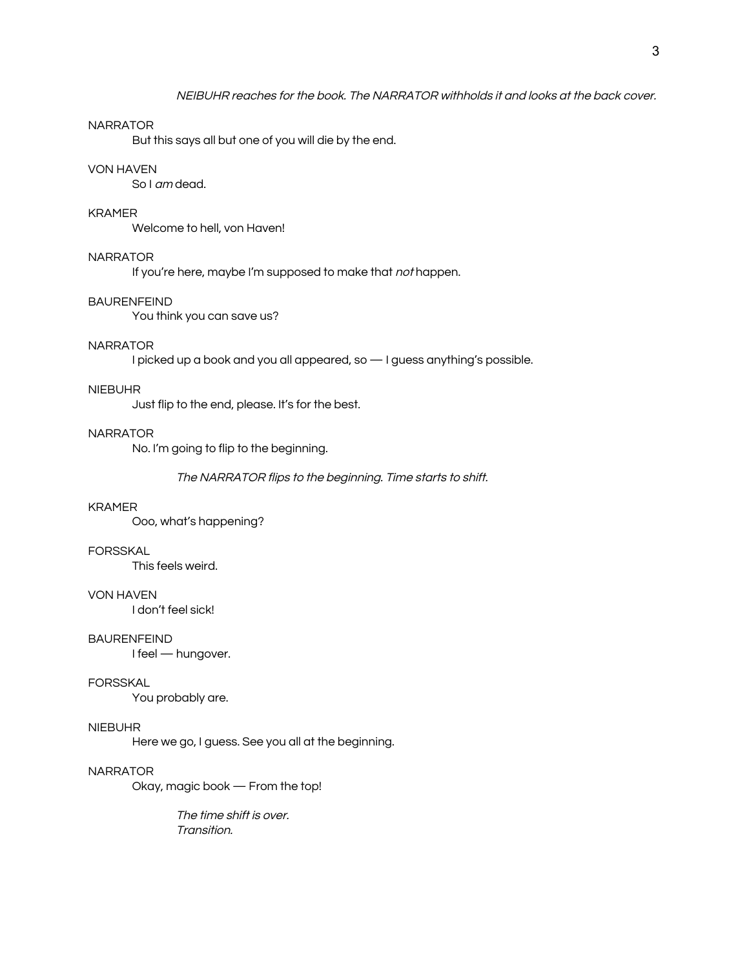#### **NARRATOR**

But this says all but one of you will die by the end.

### VON HAVEN

So I am dead.

### KRAMER

Welcome to hell, von Haven!

# **NARRATOR**

If you're here, maybe I'm supposed to make that not happen.

#### BAURENFEIND

You think you can save us?

### **NARRATOR**

I picked up a book and you all appeared, so — I guess anything's possible.

#### NIEBUHR

Just flip to the end, please. It's for the best.

#### **NARRATOR**

No. I'm going to flip to the beginning.

#### The NARRATOR flips to the beginning. Time starts to shift.

#### KRAMER

Ooo, what's happening?

#### FORSSKAL

This feels weird.

#### VON HAVEN

I don't feel sick!

### BAURENFEIND

I feel — hungover.

#### FORSSKAL

You probably are.

### NIEBUHR

Here we go, I guess. See you all at the beginning.

### NARRATOR

Okay, magic book — From the top!

The time shift is over. Transition.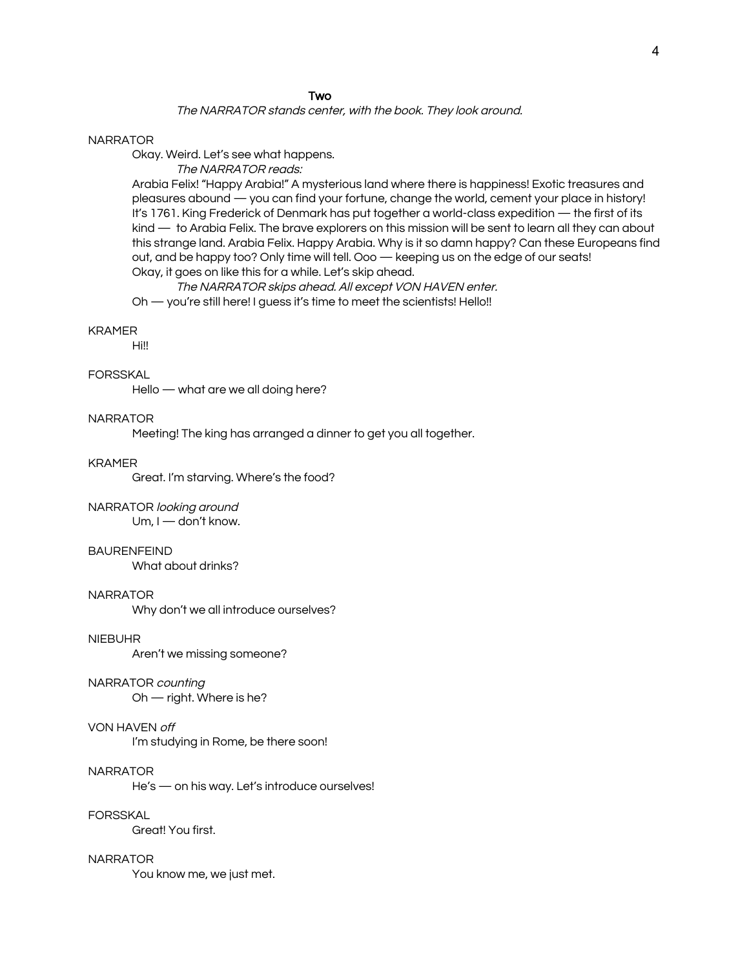#### **Two**

### The NARRATOR stands center, with the book. They look around.

#### NARRATOR

Okay. Weird. Let's see what happens.

The NARRATOR reads:

Arabia Felix! "Happy Arabia!" A mysterious land where there is happiness! Exotic treasures and pleasures abound — you can find your fortune, change the world, cement your place in history! It's 1761. King Frederick of Denmark has put together a world-class expedition — the first of its kind — to Arabia Felix. The brave explorers on this mission will be sent to learn all they can about this strange land. Arabia Felix. Happy Arabia. Why is it so damn happy? Can these Europeans find out, and be happy too? Only time will tell. Ooo — keeping us on the edge of our seats! Okay, it goes on like this for a while. Let's skip ahead.

The NARRATOR skips ahead. All except VON HAVEN enter.

Oh — you're still here! I guess it's time to meet the scientists! Hello!!

#### KRAMER

Hi!!

#### FORSSKAL

Hello — what are we all doing here?

# NARRATOR

Meeting! The king has arranged a dinner to get you all together.

#### KRAMER

Great. I'm starving. Where's the food?

#### NARRATOR looking around

Um, I — don't know.

#### BAURENFEIND

What about drinks?

#### NARRATOR

Why don't we all introduce ourselves?

#### NIEBUHR

Aren't we missing someone?

#### NARRATOR counting

Oh — right. Where is he?

### VON HAVEN off

I'm studying in Rome, be there soon!

#### NARRATOR

He's — on his way. Let's introduce ourselves!

### **FORSSKAL**

Great! You first.

#### NARRATOR

You know me, we just met.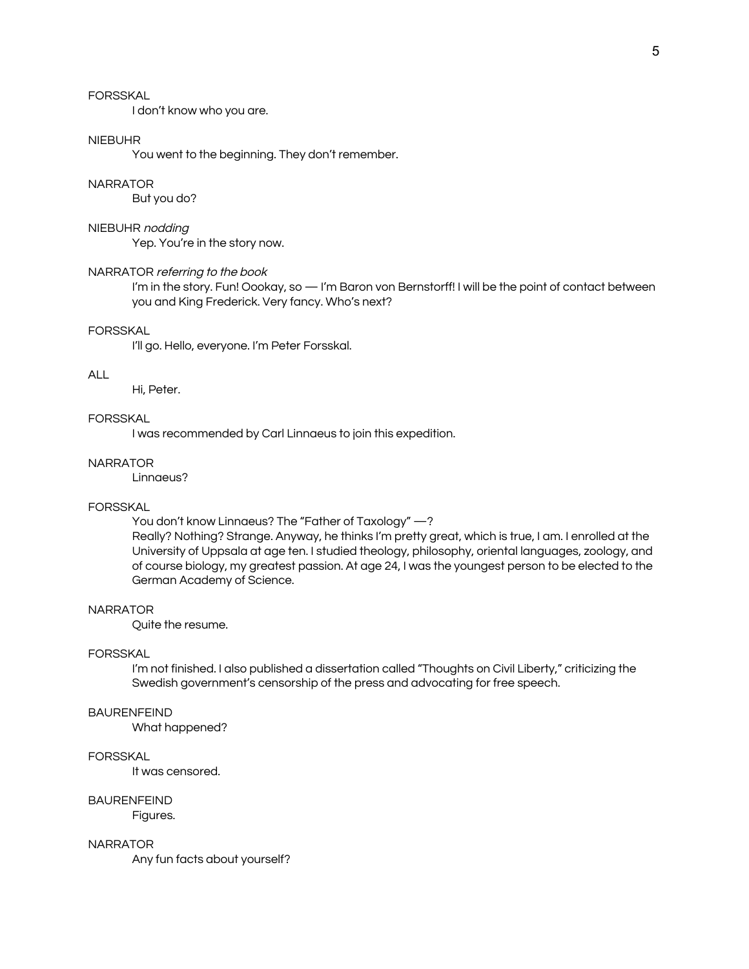### FORSSKAL

I don't know who you are.

### NIEBUHR

You went to the beginning. They don't remember.

#### NARRATOR

But you do?

#### NIEBUHR nodding

Yep. You're in the story now.

### NARRATOR referring to the book

I'm in the story. Fun! Oookay, so — I'm Baron von Bernstorff! I will be the point of contact between you and King Frederick. Very fancy. Who's next?

#### FORSSKAL

I'll go. Hello, everyone. I'm Peter Forsskal.

#### ALL

Hi, Peter.

# FORSSKAL

I was recommended by Carl Linnaeus to join this expedition.

#### NARRATOR

Linnaeus?

#### FORSSKAL

You don't know Linnaeus? The "Father of Taxology" —?

Really? Nothing? Strange. Anyway, he thinks I'm pretty great, which is true, I am. I enrolled at the University of Uppsala at age ten. I studied theology, philosophy, oriental languages, zoology, and of course biology, my greatest passion. At age 24, I was the youngest person to be elected to the German Academy of Science.

#### NARRATOR

Quite the resume.

# FORSSKAL

I'm not finished. I also published a dissertation called "Thoughts on Civil Liberty," criticizing the Swedish government's censorship of the press and advocating for free speech.

### BAURENFEIND

What happened?

#### **FORSSKAL**

It was censored.

#### BAURENFEIND

Figures.

#### **NARRATOR**

Any fun facts about yourself?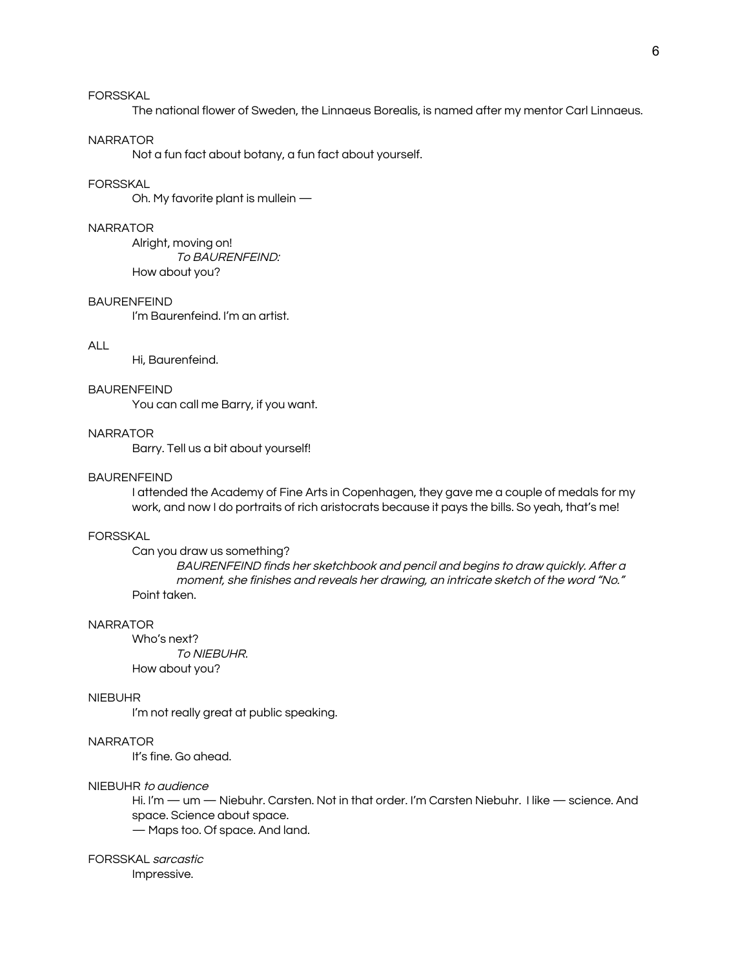# FORSSKAL

The national flower of Sweden, the Linnaeus Borealis, is named after my mentor Carl Linnaeus.

#### NARRATOR

Not a fun fact about botany, a fun fact about yourself.

#### FORSSKAL

Oh. My favorite plant is mullein —

### NARRATOR

Alright, moving on! To BAURENFEIND: How about you?

### BAURENFEIND

I'm Baurenfeind. I'm an artist.

#### ALL

Hi, Baurenfeind.

#### BAURENFEIND

You can call me Barry, if you want.

#### **NARRATOR**

Barry. Tell us a bit about yourself!

#### BAURENFEIND

I attended the Academy of Fine Arts in Copenhagen, they gave me a couple of medals for my work, and now I do portraits of rich aristocrats because it pays the bills. So yeah, that's me!

#### FORSSKAL

Can you draw us something?

BAURENFEIND finds her sketchbook and pencil and begins to draw quickly. After <sup>a</sup> moment, she finishes and reveals her drawing, an intricate sketch of the word "No." Point taken.

#### NARRATOR

Who's next? To NIEBUHR. How about you?

#### NIEBUHR

I'm not really great at public speaking.

# **NARRATOR**

It's fine. Go ahead.

#### NIEBUHR to audience

Hi. I'm — um — Niebuhr. Carsten. Not in that order. I'm Carsten Niebuhr. I like — science. And space. Science about space. — Maps too. Of space. And land.

### FORSSKAL sarcastic

Impressive.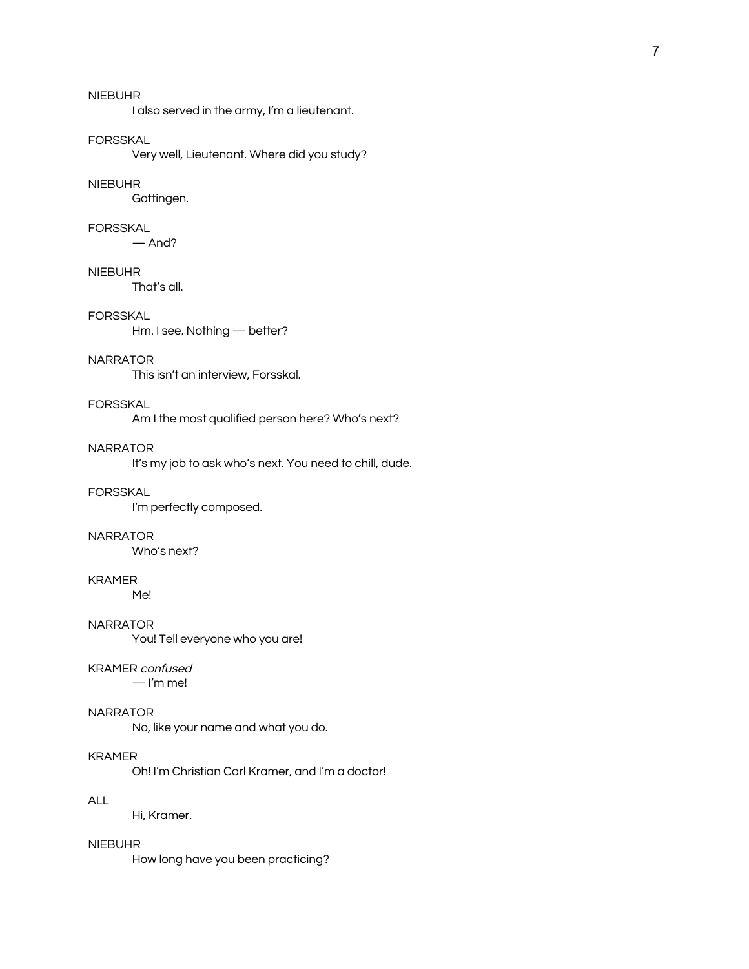I also served in the army, I'm a lieutenant.

#### FORSSKAL

Very well, Lieutenant. Where did you study?

#### NIEBUHR

Gottingen.

#### FORSSKAL

 $—$  And?

#### NIEBUHR

That's all.

### FORSSKAL

Hm. I see. Nothing — better?

#### NARRATOR

This isn't an interview, Forsskal.

# FORSSKAL

Am I the most qualified person here? Who's next?

# NARRATOR

It's my job to ask who's next. You need to chill, dude.

### FORSSKAL

I'm perfectly composed.

#### NARRATOR

Who's next?

#### KRAMER

Me!

#### NARRATOR

You! Tell everyone who you are!

### KRAMER confused

 $-$  I'm me!

### NARRATOR

No, like your name and what you do.

### KRAMER

Oh! I'm Christian Carl Kramer, and I'm a doctor!

### ALL

Hi, Kramer.

### NIEBUHR

How long have you been practicing?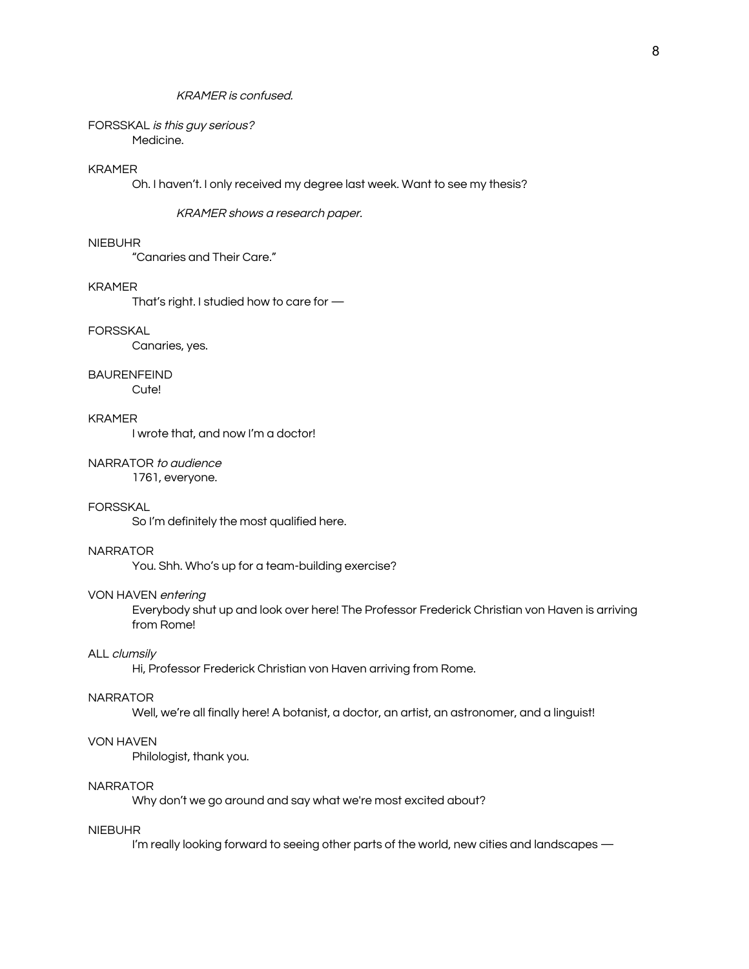### KRAMER is confused.

#### FORSSKAL is this guy serious? Medicine.

### KRAMER

Oh. I haven't. I only received my degree last week. Want to see my thesis?

KRAMER shows <sup>a</sup> research paper.

#### NIEBUHR

"Canaries and Their Care."

#### KRAMER

That's right. I studied how to care for —

### FORSSKAL

Canaries, yes.

#### BAURENFEIND

Cute!

# KRAMER

I wrote that, and now I'm a doctor!

# NARRATOR to audience

1761, everyone.

### FORSSKAL

So I'm definitely the most qualified here.

### NARRATOR

You. Shh. Who's up for a team-building exercise?

### VON HAVEN entering

Everybody shut up and look over here! The Professor Frederick Christian von Haven is arriving from Rome!

### ALL clumsily

Hi, Professor Frederick Christian von Haven arriving from Rome.

#### NARRATOR

Well, we're all finally here! A botanist, a doctor, an artist, an astronomer, and a linguist!

### VON HAVEN

Philologist, thank you.

#### **NARRATOR**

Why don't we go around and say what we're most excited about?

### NIEBUHR

I'm really looking forward to seeing other parts of the world, new cities and landscapes —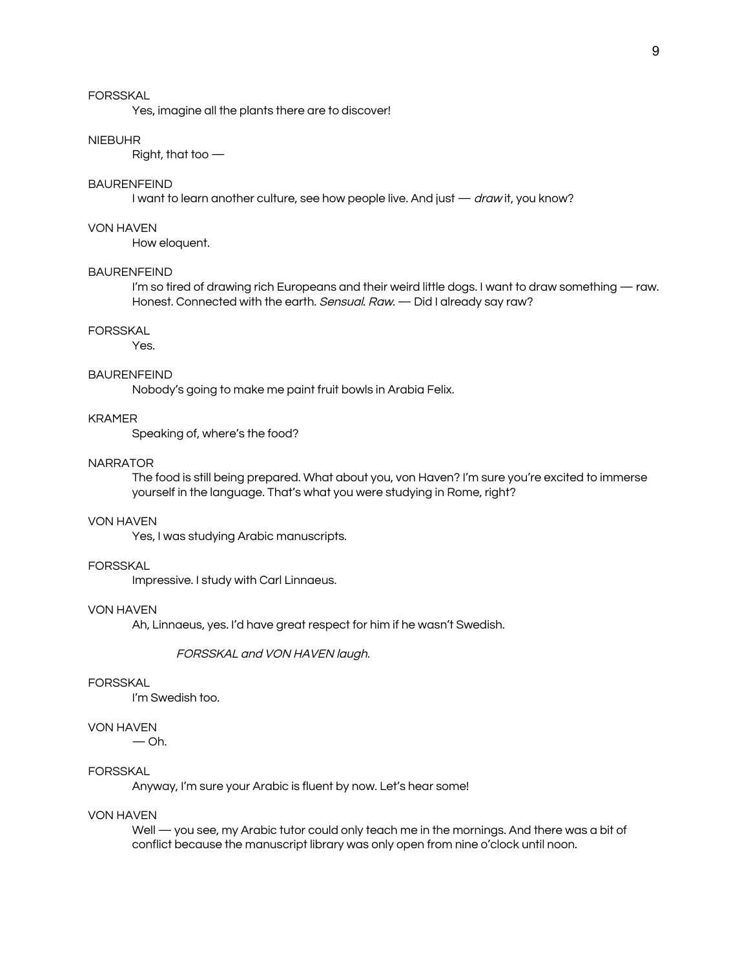### FORSSKAL

Yes, imagine all the plants there are to discover!

#### NIEBUHR

Right, that too —

### BAURENFEIND

I want to learn another culture, see how people live. And just — draw it, you know?

#### VON HAVEN

How eloquent.

#### **BAURENFEIND**

I'm so tired of drawing rich Europeans and their weird little dogs. I want to draw something — raw. Honest. Connected with the earth. Sensual. Raw. - Did I already say raw?

### FORSSKAL

Yes.

#### BAURENFEIND

Nobody's going to make me paint fruit bowls in Arabia Felix.

# KRAMER

Speaking of, where's the food?

#### NARRATOR

The food is still being prepared. What about you, von Haven? I'm sure you're excited to immerse yourself in the language. That's what you were studying in Rome, right?

#### VON HAVEN

Yes, I was studying Arabic manuscripts.

### FORSSKAL

Impressive. I study with Carl Linnaeus.

#### VON HAVEN

Ah, Linnaeus, yes. I'd have great respect for him if he wasn't Swedish.

FORSSKAL and VON HAVEN laugh.

#### FORSSKAL

I'm Swedish too.

### VON HAVEN

 $-$  Oh.

### FORSSKAL

Anyway, I'm sure your Arabic is fluent by now. Let's hear some!

### VON HAVEN

Well — you see, my Arabic tutor could only teach me in the mornings. And there was a bit of conflict because the manuscript library was only open from nine o'clock until noon.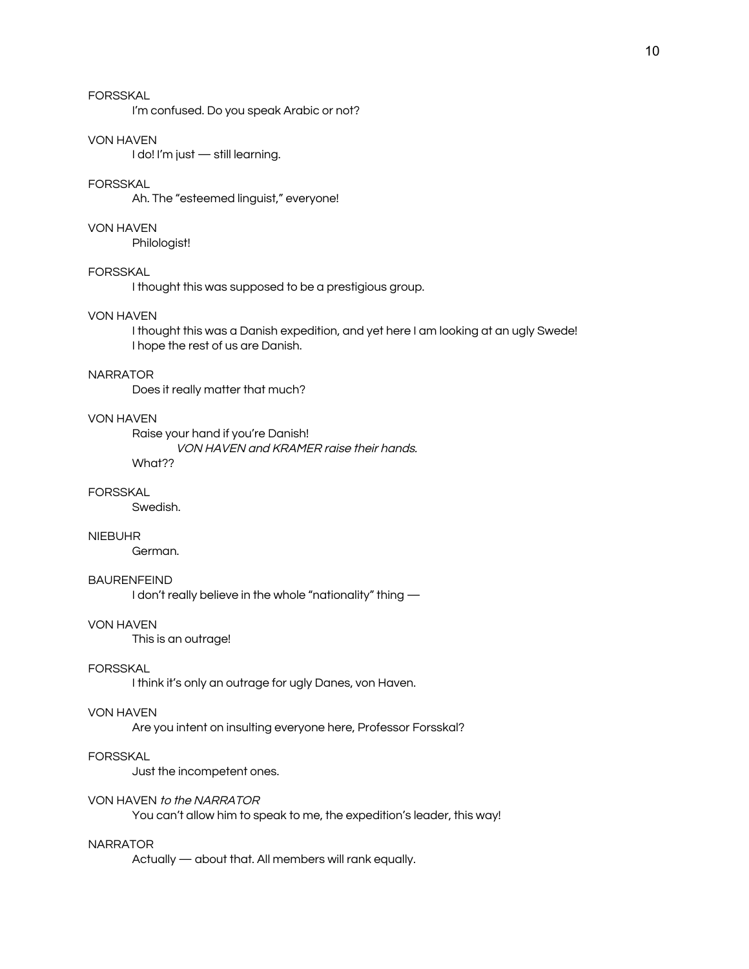# FORSSKAL

I'm confused. Do you speak Arabic or not?

### VON HAVEN

I do! I'm just — still learning.

### FORSSKAL

Ah. The "esteemed linguist," everyone!

#### VON HAVEN

Philologist!

### **FORSSKAL**

I thought this was supposed to be a prestigious group.

### VON HAVEN

I thought this was a Danish expedition, and yet here I am looking at an ugly Swede! I hope the rest of us are Danish.

#### NARRATOR

Does it really matter that much?

# VON HAVEN

Raise your hand if you're Danish! VON HAVEN and KRAMER raise their hands. What??

## FORSSKAL

Swedish.

### NIEBUHR

German.

### BAURENFEIND

I don't really believe in the whole "nationality" thing —

#### VON HAVEN

This is an outrage!

### FORSSKAL

I think it's only an outrage for ugly Danes, von Haven.

### VON HAVEN

Are you intent on insulting everyone here, Professor Forsskal?

#### **FORSSKAL**

Just the incompetent ones.

### VON HAVEN to the NARRATOR

You can't allow him to speak to me, the expedition's leader, this way!

#### NARRATOR

Actually — about that. All members will rank equally.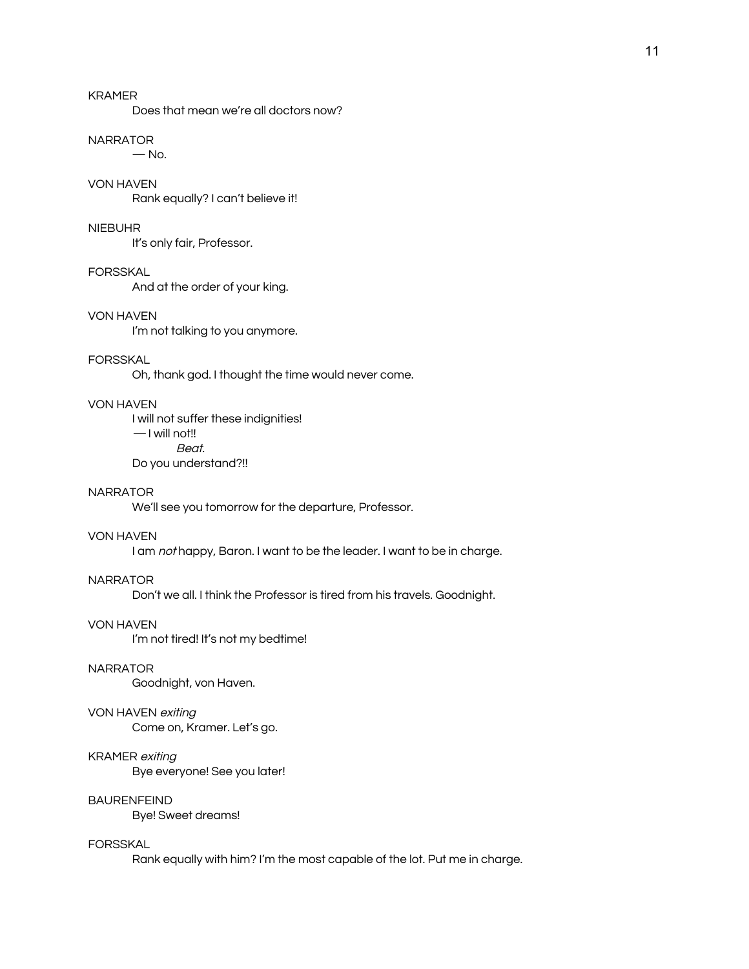# KRAMER

Does that mean we're all doctors now?

## **NARRATOR**

 $-$  No.

# VON HAVEN

Rank equally? I can't believe it!

### NIEBUHR

It's only fair, Professor.

## FORSSKAL

And at the order of your king.

# VON HAVEN

I'm not talking to you anymore.

## FORSSKAL

Oh, thank god. I thought the time would never come.

### VON HAVEN

I will not suffer these indignities! — I will not!! Beat. Do you understand?!!

# **NARRATOR**

We'll see you tomorrow for the departure, Professor.

### VON HAVEN

I am not happy, Baron. I want to be the leader. I want to be in charge.

# **NARRATOR**

Don't we all. I think the Professor is tired from his travels. Goodnight.

### VON HAVEN

I'm not tired! It's not my bedtime!

### **NARRATOR**

Goodnight, von Haven.

### VON HAVEN exiting

Come on, Kramer. Let's go.

### KRAMER exiting

Bye everyone! See you later!

# BAURENFEIND

Bye! Sweet dreams!

#### FORSSKAL

Rank equally with him? I'm the most capable of the lot. Put me in charge.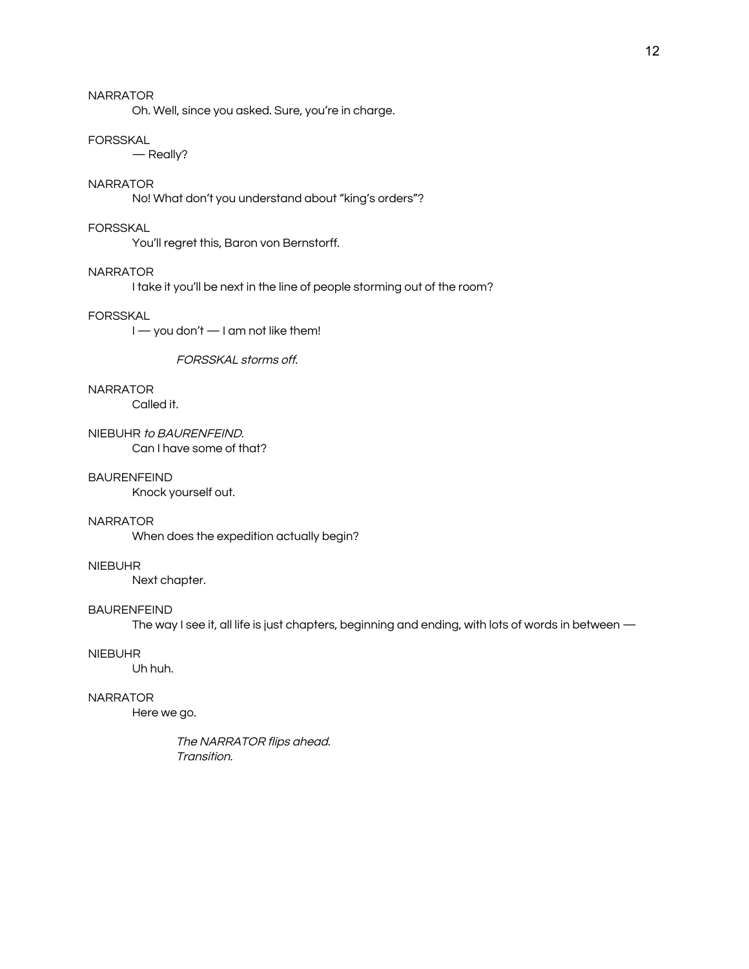Oh. Well, since you asked. Sure, you're in charge.

#### FORSSKAL

— Really?

### NARRATOR

No! What don't you understand about "king's orders"?

#### FORSSKAL

You'll regret this, Baron von Bernstorff.

#### NARRATOR

I take it you'll be next in the line of people storming out of the room?

### FORSSKAL

I — you don't — I am not like them!

FORSSKAL storms off.

### NARRATOR

Called it.

NIEBUHR to BAURENFEIND. Can I have some of that?

### BAURENFEIND

Knock yourself out.

### NARRATOR

When does the expedition actually begin?

### NIEBUHR

Next chapter.

#### BAURENFEIND

The way I see it, all life is just chapters, beginning and ending, with lots of words in between —

### NIEBUHR

Uh huh.

### NARRATOR

Here we go.

The NARRATOR flips ahead. Transition.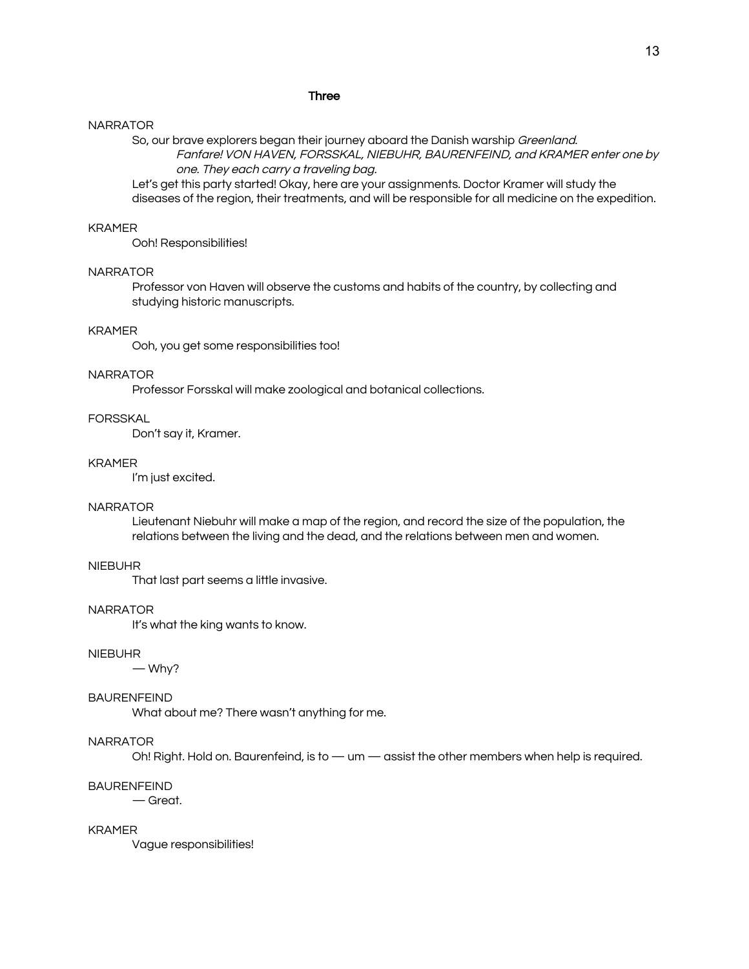### Three

#### NARRATOR

So, our brave explorers began their journey aboard the Danish warship Greenland. Fanfare! VON HAVEN, FORSSKAL, NIEBUHR, BAURENFEIND, and KRAMER enter one by

one. They each carry <sup>a</sup> traveling bag.

Let's get this party started! Okay, here are your assignments. Doctor Kramer will study the diseases of the region, their treatments, and will be responsible for all medicine on the expedition.

### KRAMER

Ooh! Responsibilities!

### NARRATOR

Professor von Haven will observe the customs and habits of the country, by collecting and studying historic manuscripts.

### KRAMER

Ooh, you get some responsibilities too!

#### NARRATOR

Professor Forsskal will make zoological and botanical collections.

### FORSSKAL

Don't say it, Kramer.

#### KRAMER

I'm just excited.

#### NARRATOR

Lieutenant Niebuhr will make a map of the region, and record the size of the population, the relations between the living and the dead, and the relations between men and women.

### NIEBUHR

That last part seems a little invasive.

#### NARRATOR

It's what the king wants to know.

#### NIEBUHR

— Why?

#### BAURENFEIND

What about me? There wasn't anything for me.

### NARRATOR

Oh! Right. Hold on. Baurenfeind, is to — um — assist the other members when help is required.

#### BAURENFEIND

— Great.

### KRAMER

Vague responsibilities!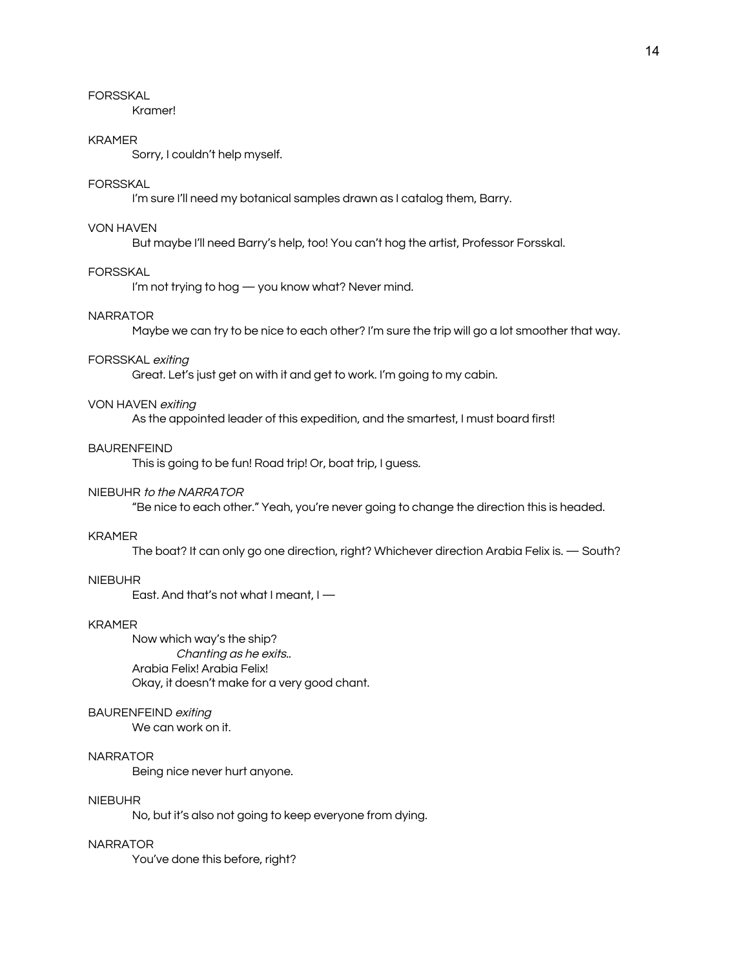FORSSKAL

Kramer!

### KRAMER

Sorry, I couldn't help myself.

### FORSSKAL

I'm sure I'll need my botanical samples drawn as I catalog them, Barry.

### VON HAVEN

But maybe I'll need Barry's help, too! You can't hog the artist, Professor Forsskal.

### FORSSKAL

I'm not trying to hog — you know what? Never mind.

### NARRATOR

Maybe we can try to be nice to each other? I'm sure the trip will go a lot smoother that way.

#### FORSSKAL exiting

Great. Let's just get on with it and get to work. I'm going to my cabin.

### VON HAVEN exiting

As the appointed leader of this expedition, and the smartest, I must board first!

#### BAURENFEIND

This is going to be fun! Road trip! Or, boat trip, I guess.

#### NIEBUHR to the NARRATOR

"Be nice to each other." Yeah, you're never going to change the direction this is headed.

#### KRAMER

The boat? It can only go one direction, right? Whichever direction Arabia Felix is. — South?

### NIEBUHR

East. And that's not what I meant, I —

#### KRAMER

Now which way's the ship? Chanting as he exits.. Arabia Felix! Arabia Felix! Okay, it doesn't make for a very good chant.

### BAURENFEIND exiting

We can work on it.

### NARRATOR

Being nice never hurt anyone.

### NIEBUHR

No, but it's also not going to keep everyone from dying.

#### NARRATOR

You've done this before, right?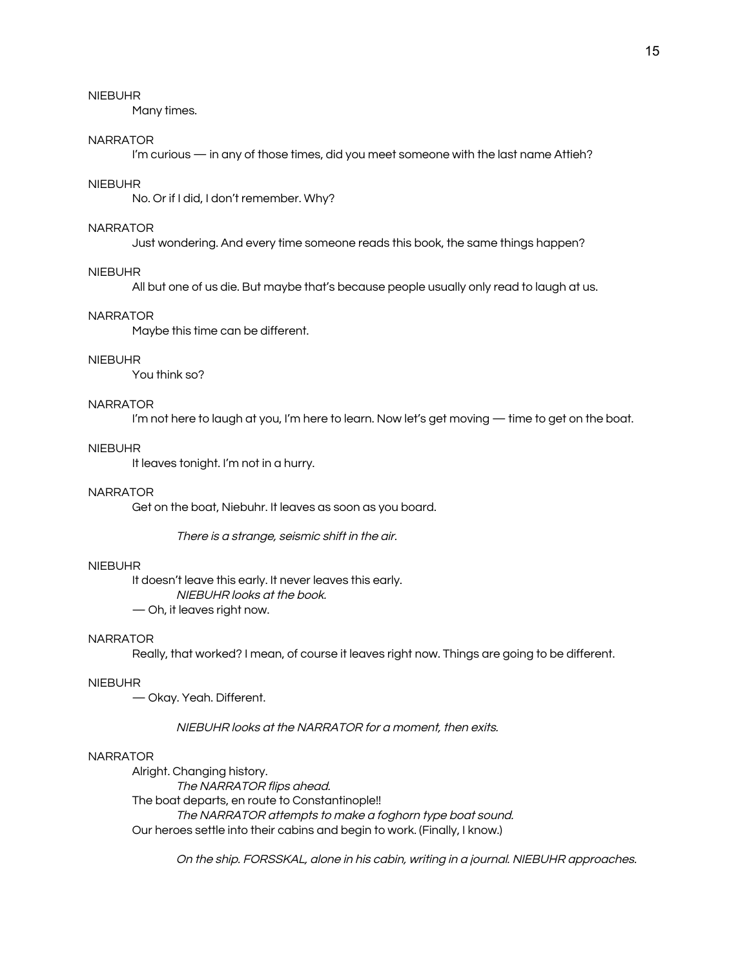Many times.

### NARRATOR

I'm curious — in any of those times, did you meet someone with the last name Attieh?

### NIEBUHR

No. Or if I did, I don't remember. Why?

### NARRATOR

Just wondering. And every time someone reads this book, the same things happen?

#### NIEBUHR

All but one of us die. But maybe that's because people usually only read to laugh at us.

### NARRATOR

Maybe this time can be different.

#### NIEBUHR

You think so?

### NARRATOR

I'm not here to laugh at you, I'm here to learn. Now let's get moving — time to get on the boat.

#### NIEBUHR

It leaves tonight. I'm not in a hurry.

## **NARRATOR**

Get on the boat, Niebuhr. It leaves as soon as you board.

There is <sup>a</sup> strange, seismic shift in the air.

#### NIEBUHR

It doesn't leave this early. It never leaves this early. NIEBUHR looks at the book.

— Oh, it leaves right now.

### NARRATOR

Really, that worked? I mean, of course it leaves right now. Things are going to be different.

#### NIEBUHR

— Okay. Yeah. Different.

### NIEBUHR looks at the NARRATOR for <sup>a</sup> moment, then exits.

### NARRATOR

Alright. Changing history. The NARRATOR flips ahead. The boat departs, en route to Constantinople!! The NARRATOR attempts to make <sup>a</sup> foghorn type boat sound. Our heroes settle into their cabins and begin to work. (Finally, I know.)

On the ship. FORSSKAL, alone in his cabin, writing in <sup>a</sup> journal. NIEBUHR approaches.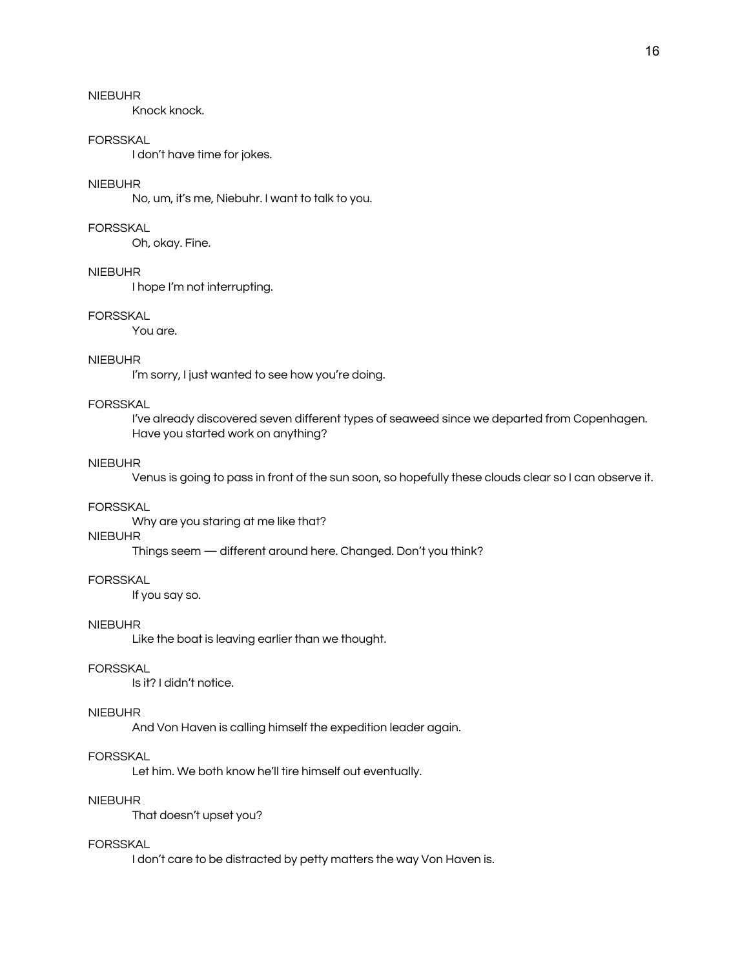Knock knock.

### FORSSKAL

I don't have time for jokes.

### NIEBUHR

No, um, it's me, Niebuhr. I want to talk to you.

#### FORSSKAL

Oh, okay. Fine.

### NIEBUHR

I hope I'm not interrupting.

### FORSSKAL

You are.

### NIEBUHR

I'm sorry, I just wanted to see how you're doing.

### FORSSKAL

I've already discovered seven different types of seaweed since we departed from Copenhagen. Have you started work on anything?

### NIEBUHR

Venus is going to pass in front of the sun soon, so hopefully these clouds clear so I can observe it.

#### FORSSKAL

Why are you staring at me like that?

### NIEBUHR

Things seem — different around here. Changed. Don't you think?

### FORSSKAL

If you say so.

#### NIEBUHR

Like the boat is leaving earlier than we thought.

### FORSSKAL

Is it? I didn't notice.

### NIEBUHR

And Von Haven is calling himself the expedition leader again.

#### **FORSSKAL**

Let him. We both know he'll tire himself out eventually.

### NIEBUHR

That doesn't upset you?

#### FORSSKAL

I don't care to be distracted by petty matters the way Von Haven is.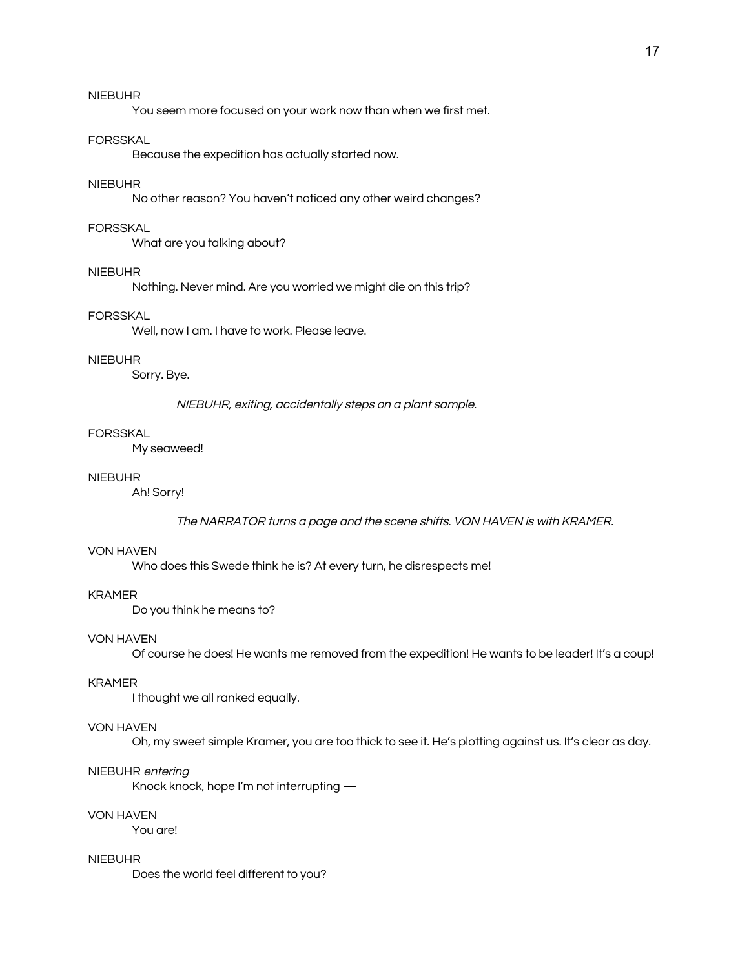You seem more focused on your work now than when we first met.

### FORSSKAL

Because the expedition has actually started now.

### NIEBUHR

No other reason? You haven't noticed any other weird changes?

#### FORSSKAL

What are you talking about?

#### NIEBUHR

Nothing. Never mind. Are you worried we might die on this trip?

### FORSSKAL

Well, now I am. I have to work. Please leave.

#### NIEBUHR

Sorry. Bye.

### NIEBUHR, exiting, accidentally steps on <sup>a</sup> plant sample.

#### FORSSKAL

My seaweed!

### NIEBUHR

Ah! Sorry!

#### The NARRATOR turns <sup>a</sup> page and the scene shifts. VON HAVEN is with KRAMER.

#### VON HAVEN

Who does this Swede think he is? At every turn, he disrespects me!

### KRAMER

Do you think he means to?

### VON HAVEN

Of course he does! He wants me removed from the expedition! He wants to be leader! It's a coup!

#### KRAMER

I thought we all ranked equally.

### VON HAVEN

Oh, my sweet simple Kramer, you are too thick to see it. He's plotting against us. It's clear as day.

#### NIEBUHR entering

Knock knock, hope I'm not interrupting —

### VON HAVEN

You are!

#### NIEBUHR

Does the world feel different to you?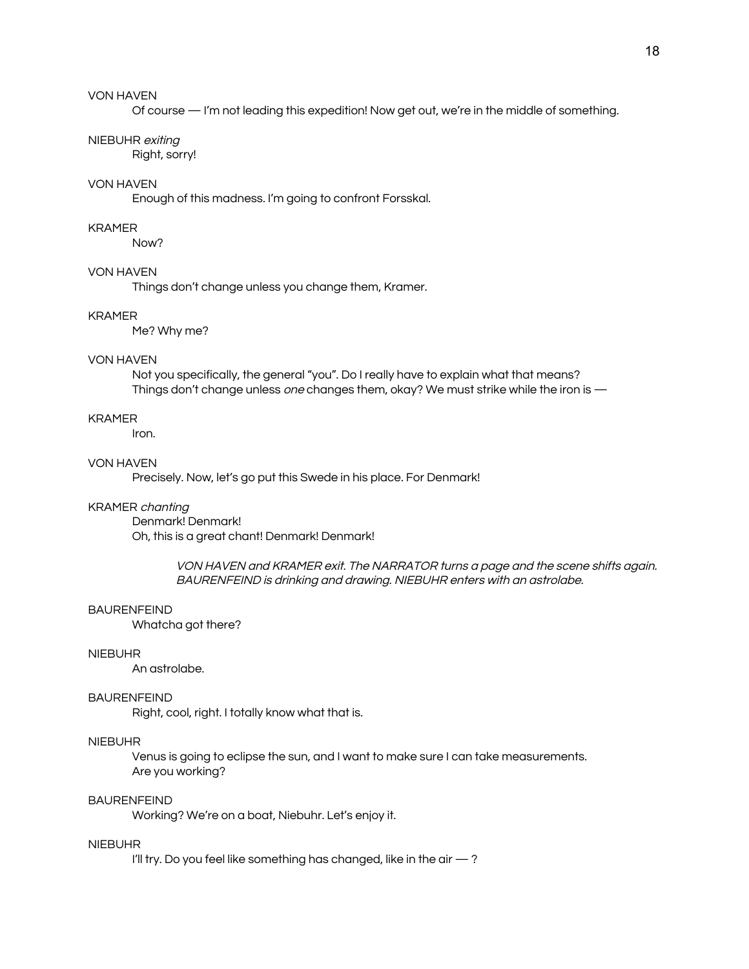Of course — I'm not leading this expedition! Now get out, we're in the middle of something.

#### NIEBUHR exiting

Right, sorry!

### VON HAVEN

Enough of this madness. I'm going to confront Forsskal.

### KRAMER

Now?

### VON HAVEN

Things don't change unless you change them, Kramer.

#### KRAMER

Me? Why me?

#### VON HAVEN

Not you specifically, the general "you". Do I really have to explain what that means? Things don't change unless one changes them, okay? We must strike while the iron is —

### KRAMER

Iron.

### VON HAVEN

Precisely. Now, let's go put this Swede in his place. For Denmark!

#### KRAMER chanting

Denmark! Denmark! Oh, this is a great chant! Denmark! Denmark!

> VON HAVEN and KRAMER exit. The NARRATOR turns <sup>a</sup> page and the scene shifts again. BAURENFEIND is drinking and drawing. NIEBUHR enters with an astrolabe.

#### BAURENFEIND

Whatcha got there?

### NIEBUHR

An astrolabe.

#### BAURENFEIND

Right, cool, right. I totally know what that is.

### NIEBUHR

Venus is going to eclipse the sun, and I want to make sure I can take measurements. Are you working?

#### BAURENFEIND

Working? We're on a boat, Niebuhr. Let's enjoy it.

### NIEBUHR

I'll try. Do you feel like something has changed, like in the air  $-$  ?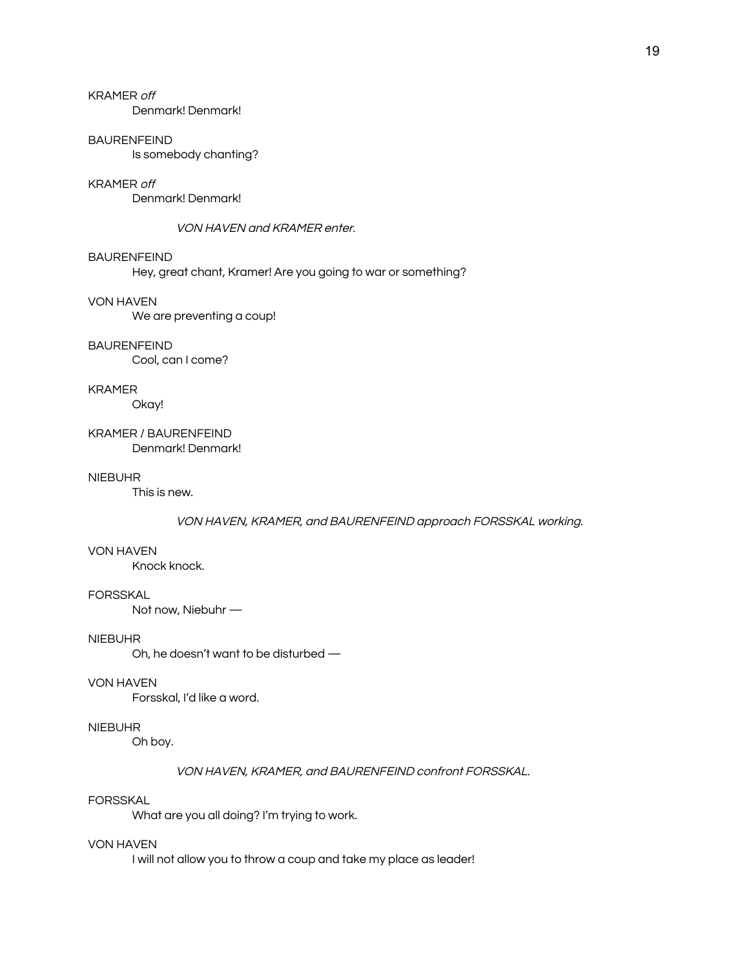# KRAMER off

Denmark! Denmark!

#### BAURENFEIND

Is somebody chanting?

#### KRAMER off

Denmark! Denmark!

#### VON HAVEN and KRAMER enter.

#### BAURENFEIND

Hey, great chant, Kramer! Are you going to war or something?

#### VON HAVEN

We are preventing a coup!

#### BAURENFEIND

Cool, can I come?

#### KRAMER

Okay!

#### KRAMER / BAURENFEIND Denmark! Denmark!

### NIEBUHR

This is new.

#### VON HAVEN, KRAMER, and BAURENFEIND approach FORSSKAL working.

#### VON HAVEN

Knock knock.

#### **FORSSKAL**

Not now, Niebuhr —

### NIEBUHR

Oh, he doesn't want to be disturbed —

#### VON HAVEN

Forsskal, I'd like a word.

### NIEBUHR

Oh boy.

#### VON HAVEN, KRAMER, and BAURENFEIND confront FORSSKAL.

### FORSSKAL

What are you all doing? I'm trying to work.

#### VON HAVEN

I will not allow you to throw a coup and take my place as leader!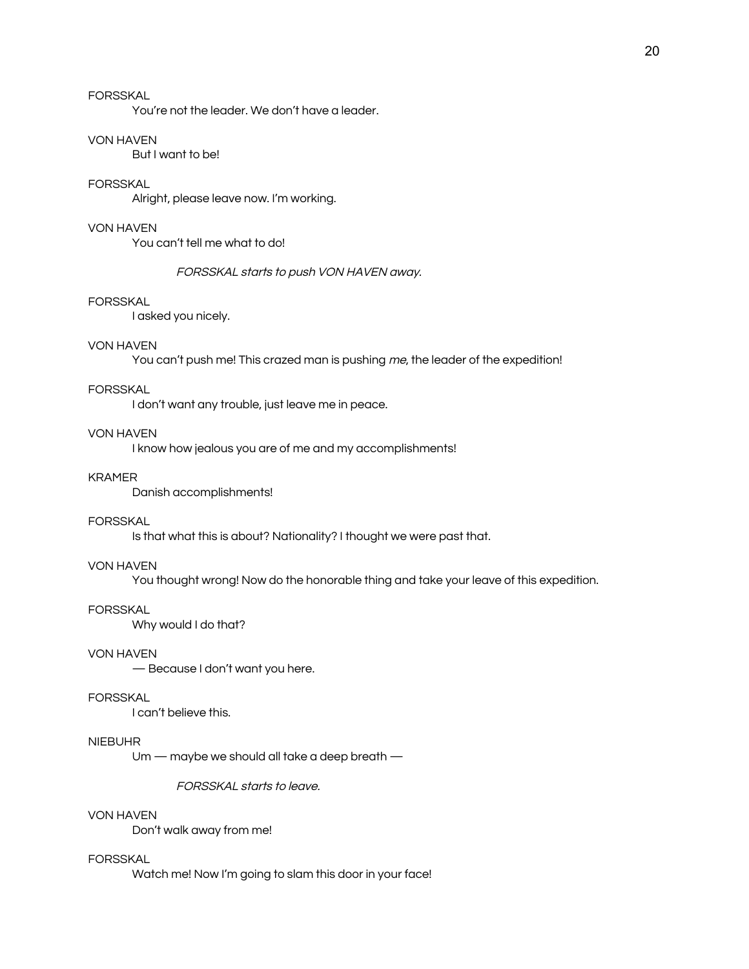# FORSSKAL

You're not the leader. We don't have a leader.

### VON HAVEN

But I want to be!

### FORSSKAL

Alright, please leave now. I'm working.

### VON HAVEN

You can't tell me what to do!

### FORSSKAL starts to push VON HAVEN away.

#### FORSSKAL

I asked you nicely.

### VON HAVEN

You can't push me! This crazed man is pushing me, the leader of the expedition!

#### FORSSKAL

I don't want any trouble, just leave me in peace.

### VON HAVEN

I know how jealous you are of me and my accomplishments!

### KRAMER

Danish accomplishments!

### FORSSKAL

Is that what this is about? Nationality? I thought we were past that.

### VON HAVEN

You thought wrong! Now do the honorable thing and take your leave of this expedition.

### FORSSKAL

Why would I do that?

### VON HAVEN

— Because I don't want you here.

### FORSSKAL

I can't believe this.

# NIEBUHR

Um — maybe we should all take a deep breath —

FORSSKAL starts to leave.

### VON HAVEN

Don't walk away from me!

### FORSSKAL

Watch me! Now I'm going to slam this door in your face!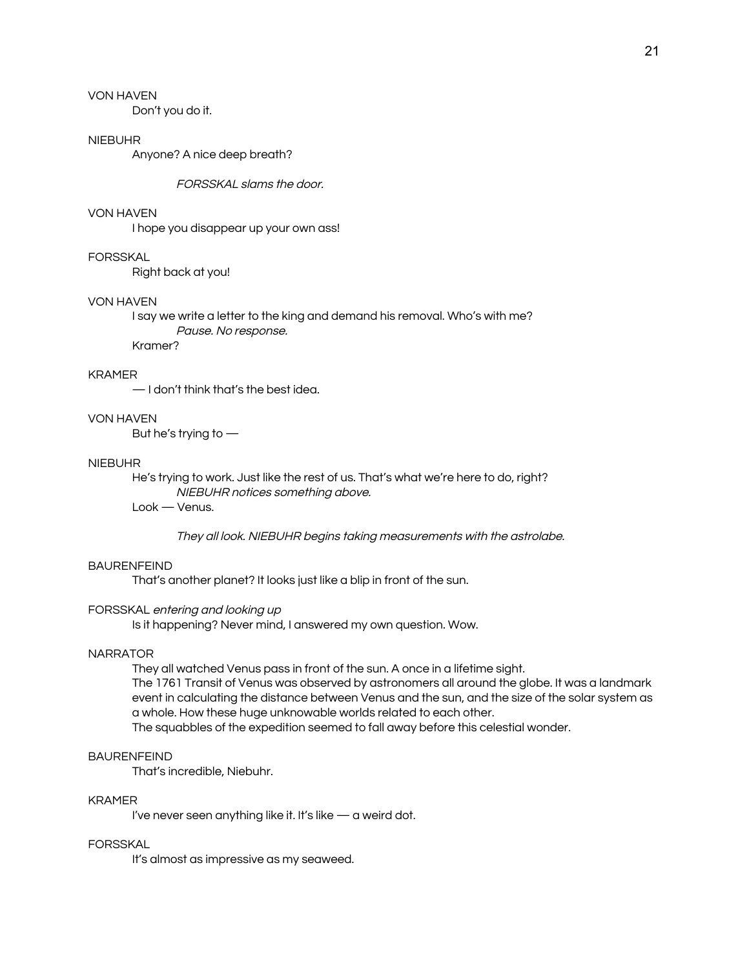Don't you do it.

#### NIEBUHR

Anyone? A nice deep breath?

FORSSKAL slams the door.

#### VON HAVEN

I hope you disappear up your own ass!

### FORSSKAL

Right back at you!

### VON HAVEN

I say we write a letter to the king and demand his removal. Who's with me? Pause. No response.

Kramer?

#### KRAMER

— I don't think that's the best idea.

# VON HAVEN

But he's trying to —

#### NIEBUHR

He's trying to work. Just like the rest of us. That's what we're here to do, right? NIEBUHR notices something above. Look — Venus.

They all look. NIEBUHR begins taking measurements with the astrolabe.

#### BAURENFEIND

That's another planet? It looks just like a blip in front of the sun.

#### FORSSKAL entering and looking up

Is it happening? Never mind, I answered my own question. Wow.

### **NARRATOR**

They all watched Venus pass in front of the sun. A once in a lifetime sight.

The 1761 Transit of Venus was observed by astronomers all around the globe. It was a landmark event in calculating the distance between Venus and the sun, and the size of the solar system as a whole. How these huge unknowable worlds related to each other.

The squabbles of the expedition seemed to fall away before this celestial wonder.

### **BAURENFEIND**

That's incredible, Niebuhr.

### KRAMER

I've never seen anything like it. It's like — a weird dot.

### FORSSKAL

It's almost as impressive as my seaweed.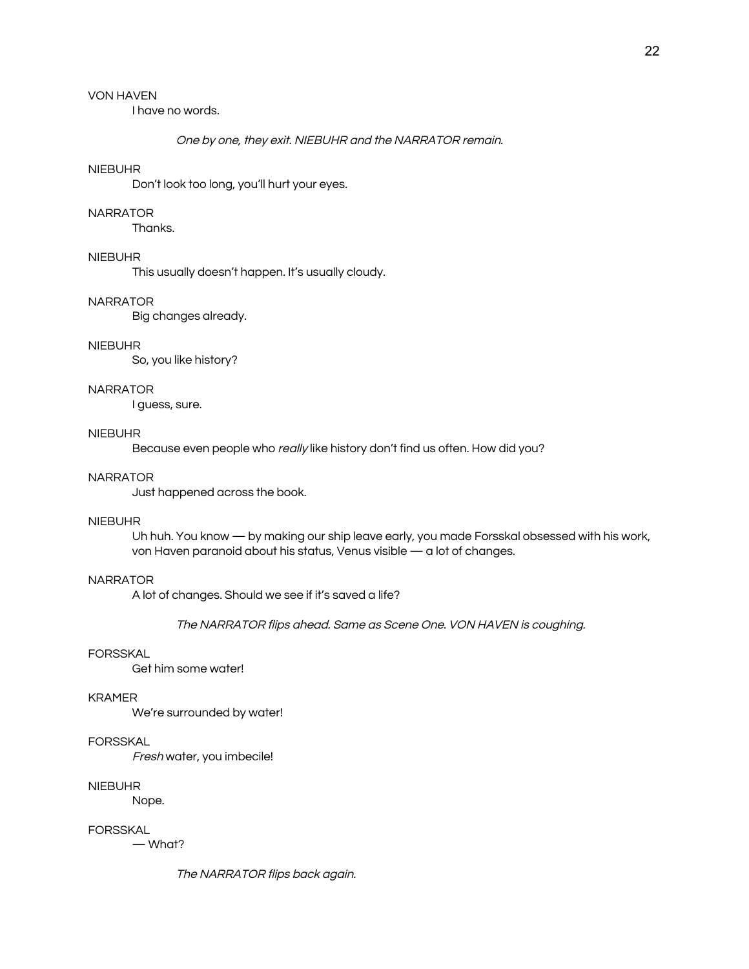I have no words.

### One by one, they exit. NIEBUHR and the NARRATOR remain.

### NIEBUHR

Don't look too long, you'll hurt your eyes.

#### NARRATOR

Thanks.

# NIEBUHR

This usually doesn't happen. It's usually cloudy.

#### NARRATOR

Big changes already.

### NIEBUHR

So, you like history?

#### NARRATOR

I guess, sure.

### NIEBUHR

Because even people who really like history don't find us often. How did you?

#### NARRATOR

Just happened across the book.

#### NIEBUHR

Uh huh. You know — by making our ship leave early, you made Forsskal obsessed with his work, von Haven paranoid about his status, Venus visible — a lot of changes.

### **NARRATOR**

A lot of changes. Should we see if it's saved a life?

The NARRATOR flips ahead. Same as Scene One. VON HAVEN is coughing.

# FORSSKAL

Get him some water!

#### KRAMER

We're surrounded by water!

### FORSSKAL

Fresh water, you imbecile!

#### NIEBUHR

Nope.

#### FORSSKAL

— What?

The NARRATOR flips back again.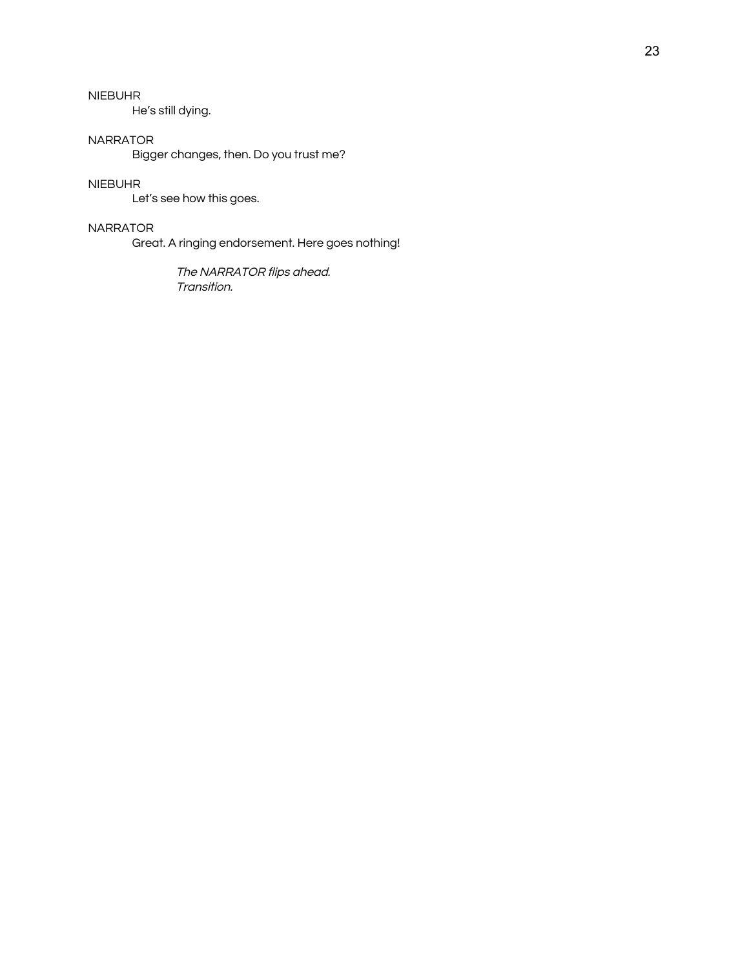He's still dying.

### NARRATOR

Bigger changes, then. Do you trust me?

# NIEBUHR

Let's see how this goes.

### NARRATOR

Great. A ringing endorsement. Here goes nothing!

The NARRATOR flips ahead. Transition.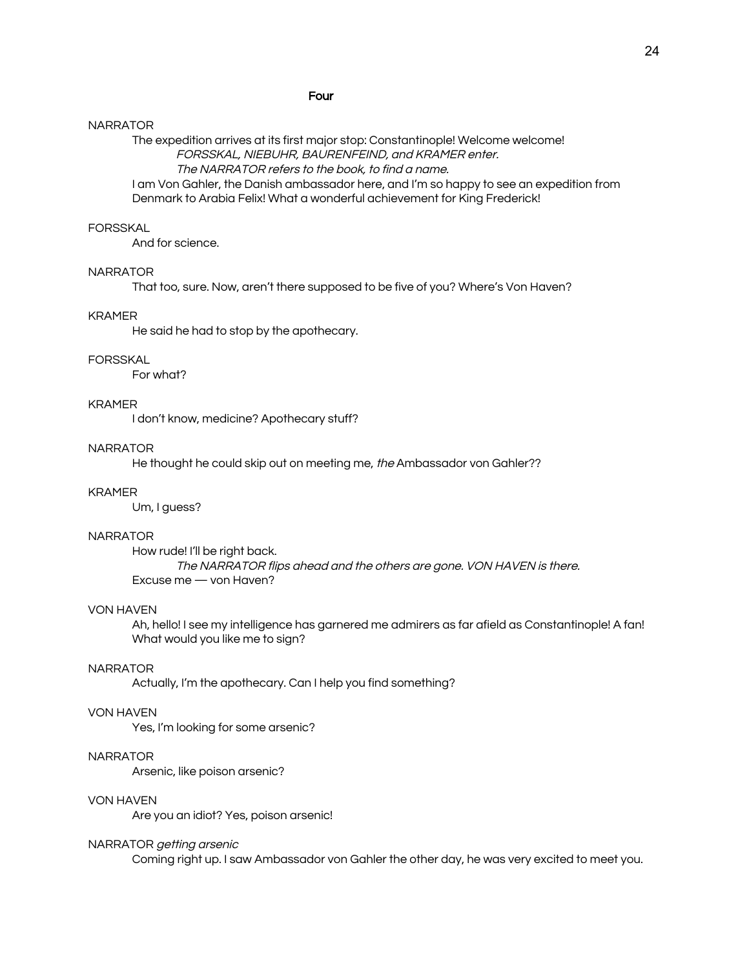#### Four

#### NARRATOR

The expedition arrives at its first major stop: Constantinople! Welcome welcome! FORSSKAL, NIEBUHR, BAURENFEIND, and KRAMER enter.

The NARRATOR refers to the book, to find <sup>a</sup> name.

I am Von Gahler, the Danish ambassador here, and I'm so happy to see an expedition from Denmark to Arabia Felix! What a wonderful achievement for King Frederick!

#### FORSSKAL

And for science.

### NARRATOR

That too, sure. Now, aren't there supposed to be five of you? Where's Von Haven?

### KRAMER

He said he had to stop by the apothecary.

### **FORSSKAL**

For what?

### KRAMER

I don't know, medicine? Apothecary stuff?

### NARRATOR

He thought he could skip out on meeting me, the Ambassador von Gahler??

#### KRAMER

Um, I guess?

#### NARRATOR

How rude! I'll be right back. The NARRATOR flips ahead and the others are gone. VON HAVEN is there. Excuse me — von Haven?

#### VON HAVEN

Ah, hello! I see my intelligence has garnered me admirers as far afield as Constantinople! A fan! What would you like me to sign?

#### NARRATOR

Actually, I'm the apothecary. Can I help you find something?

### VON HAVEN

Yes, I'm looking for some arsenic?

### NARRATOR

Arsenic, like poison arsenic?

### VON HAVEN

Are you an idiot? Yes, poison arsenic!

#### NARRATOR getting arsenic

Coming right up. I saw Ambassador von Gahler the other day, he was very excited to meet you.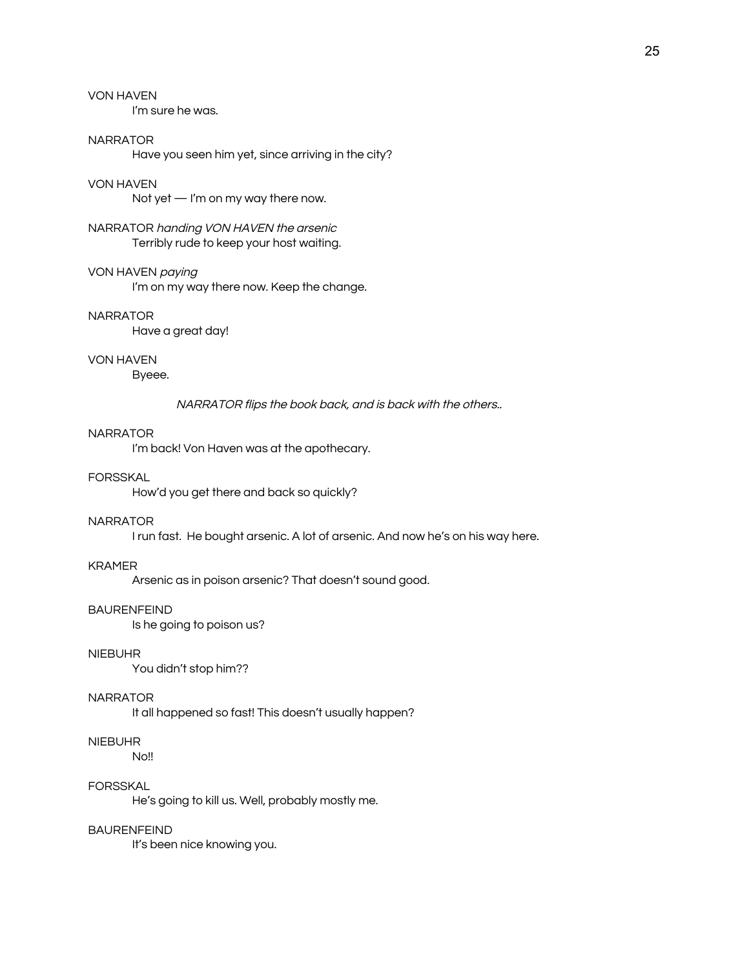I'm sure he was.

### NARRATOR

Have you seen him yet, since arriving in the city?

#### VON HAVEN

Not yet — I'm on my way there now.

NARRATOR handing VON HAVEN the arsenic Terribly rude to keep your host waiting.

### VON HAVEN paying

I'm on my way there now. Keep the change.

### NARRATOR

Have a great day!

#### VON HAVEN

Byeee.

NARRATOR flips the book back, and is back with the others..

### NARRATOR

I'm back! Von Haven was at the apothecary.

### FORSSKAL

How'd you get there and back so quickly?

#### NARRATOR

I run fast. He bought arsenic. A lot of arsenic. And now he's on his way here.

#### KRAMER

Arsenic as in poison arsenic? That doesn't sound good.

#### BAURENFEIND

Is he going to poison us?

### NIEBUHR

You didn't stop him??

#### NARRATOR

It all happened so fast! This doesn't usually happen?

### NIEBUHR

No!!

#### FORSSKAL

He's going to kill us. Well, probably mostly me.

# BAURENFEIND

It's been nice knowing you.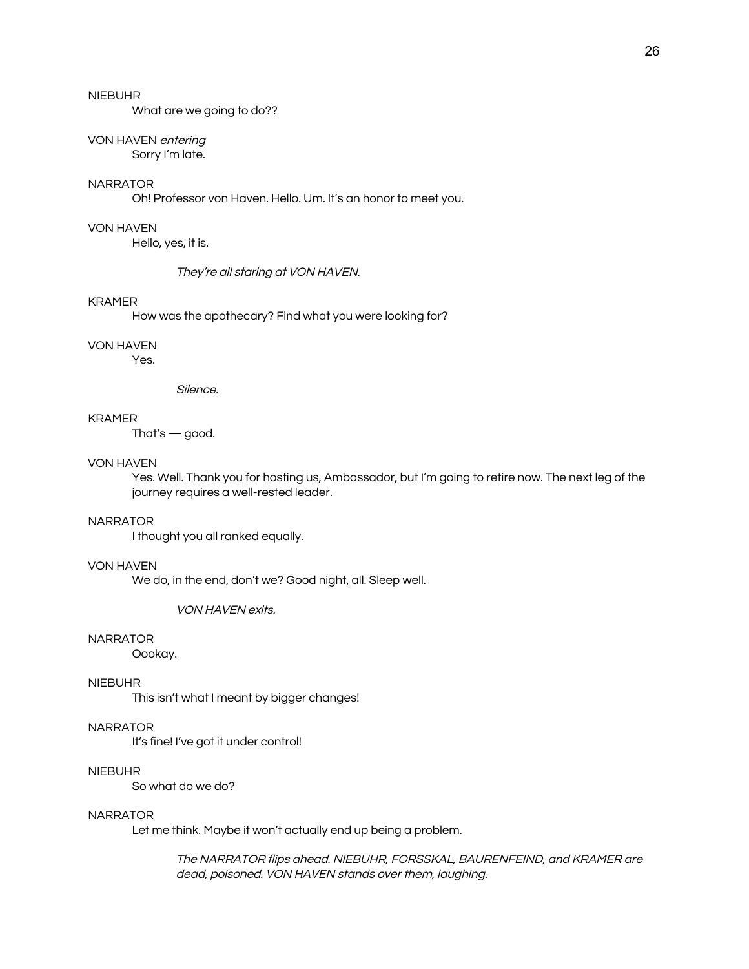What are we going to do??

#### VON HAVEN entering

Sorry I'm late.

### NARRATOR

Oh! Professor von Haven. Hello. Um. It's an honor to meet you.

### VON HAVEN

Hello, yes, it is.

They're all staring at VON HAVEN.

#### KRAMER

How was the apothecary? Find what you were looking for?

#### VON HAVEN

Yes.

Silence.

#### KRAMER

That's — good.

#### VON HAVEN

Yes. Well. Thank you for hosting us, Ambassador, but I'm going to retire now. The next leg of the journey requires a well-rested leader.

#### NARRATOR

I thought you all ranked equally.

#### VON HAVEN

We do, in the end, don't we? Good night, all. Sleep well.

#### VON HAVEN exits.

### NARRATOR

Oookay.

### NIEBUHR

This isn't what I meant by bigger changes!

### NARRATOR

It's fine! I've got it under control!

### NIEBUHR

So what do we do?

### NARRATOR

Let me think. Maybe it won't actually end up being a problem.

The NARRATOR flips ahead. NIEBUHR, FORSSKAL, BAURENFEIND, and KRAMER are dead, poisoned. VON HAVEN stands over them, laughing.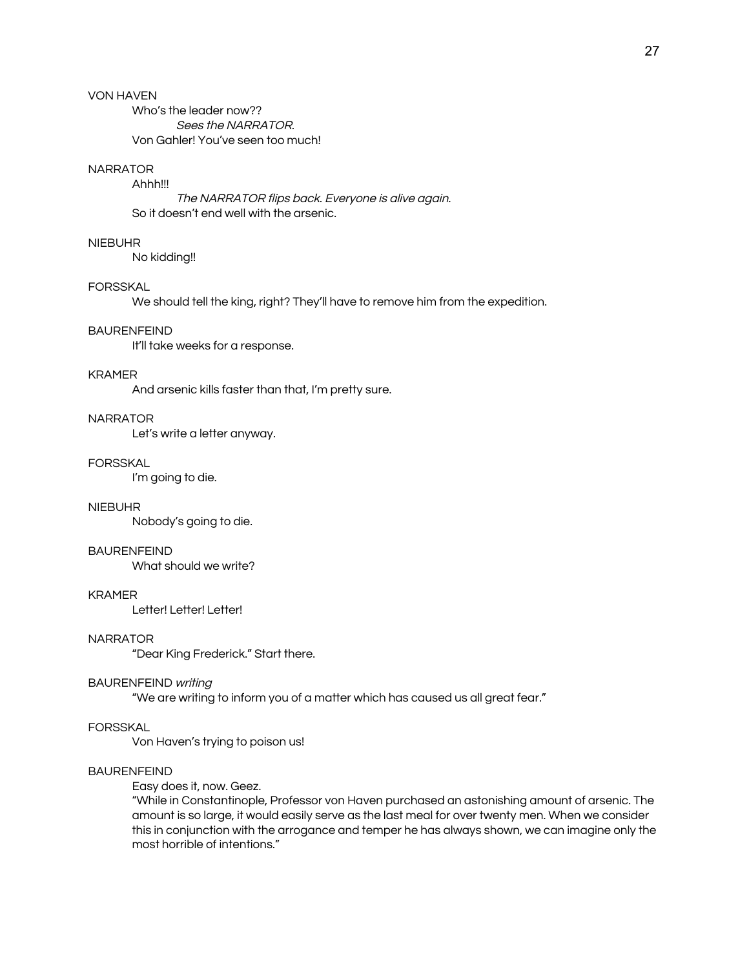Who's the leader now?? Sees the NARRATOR. Von Gahler! You've seen too much!

# NARRATOR

Ahhh!!!

The NARRATOR flips back. Everyone is alive again. So it doesn't end well with the arsenic.

### NIEBUHR

No kidding!!

#### FORSSKAL

We should tell the king, right? They'll have to remove him from the expedition.

#### BAURENFEIND

It'll take weeks for a response.

#### KRAMER

And arsenic kills faster than that, I'm pretty sure.

# NARRATOR

Let's write a letter anyway.

#### FORSSKAL

I'm going to die.

### NIEBUHR

Nobody's going to die.

#### BAURENFEIND

What should we write?

#### KRAMER

Letter! Letter! Letter!

### NARRATOR

"Dear King Frederick." Start there.

#### BAURENFEIND writing

"We are writing to inform you of a matter which has caused us all great fear."

### FORSSKAL

Von Haven's trying to poison us!

#### BAURENFEIND

Easy does it, now. Geez.

"While in Constantinople, Professor von Haven purchased an astonishing amount of arsenic. The amount is so large, it would easily serve as the last meal for over twenty men. When we consider this in conjunction with the arrogance and temper he has always shown, we can imagine only the most horrible of intentions."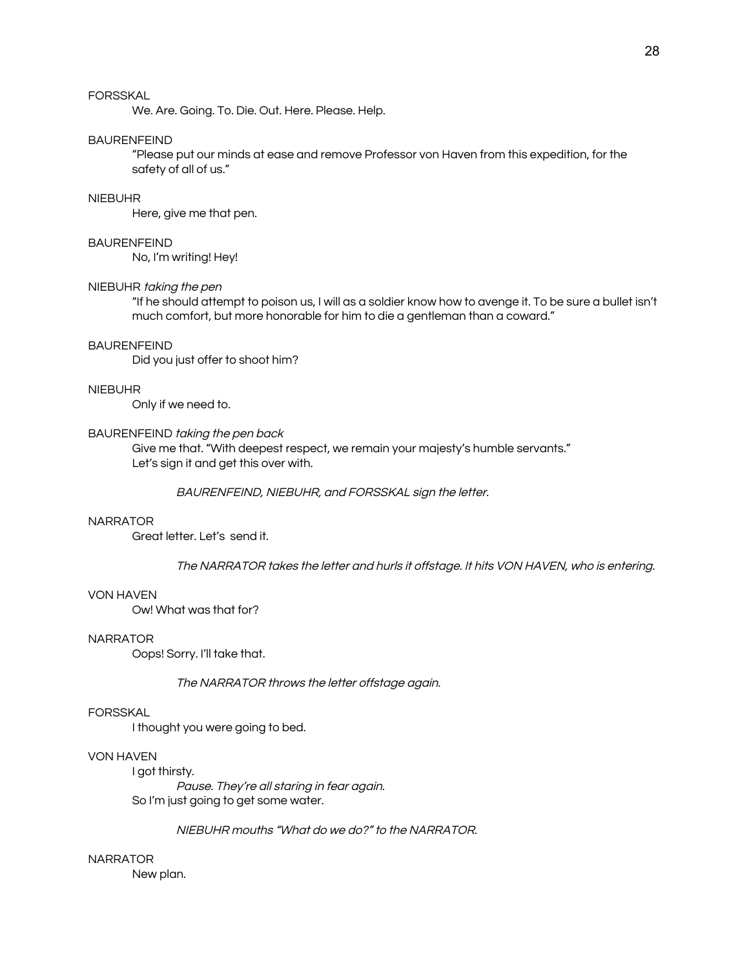We. Are. Going. To. Die. Out. Here. Please. Help.

### BAURENFEIND

"Please put our minds at ease and remove Professor von Haven from this expedition, for the safety of all of us."

#### NIEBUHR

Here, give me that pen.

### BAURENFEIND

No, I'm writing! Hey!

#### NIEBUHR taking the pen

"If he should attempt to poison us, I will as a soldier know how to avenge it. To be sure a bullet isn't much comfort, but more honorable for him to die a gentleman than a coward."

#### BAURENFEIND

Did you just offer to shoot him?

#### NIEBUHR

Only if we need to.

### BAURENFEIND taking the pen back

Give me that. "With deepest respect, we remain your majesty's humble servants." Let's sign it and get this over with.

BAURENFEIND, NIEBUHR, and FORSSKAL sign the letter.

#### NARRATOR

Great letter. Let's send it.

The NARRATOR takes the letter and hurls it offstage. It hits VON HAVEN, who is entering.

#### VON HAVEN

Ow! What was that for?

#### NARRATOR

Oops! Sorry. I'll take that.

The NARRATOR throws the letter offstage again.

### FORSSKAL

I thought you were going to bed.

### VON HAVEN

I got thirsty.

Pause. They're all staring in fear again. So I'm just going to get some water.

NIEBUHR mouths "What do we do?" to the NARRATOR.

#### NARRATOR

New plan.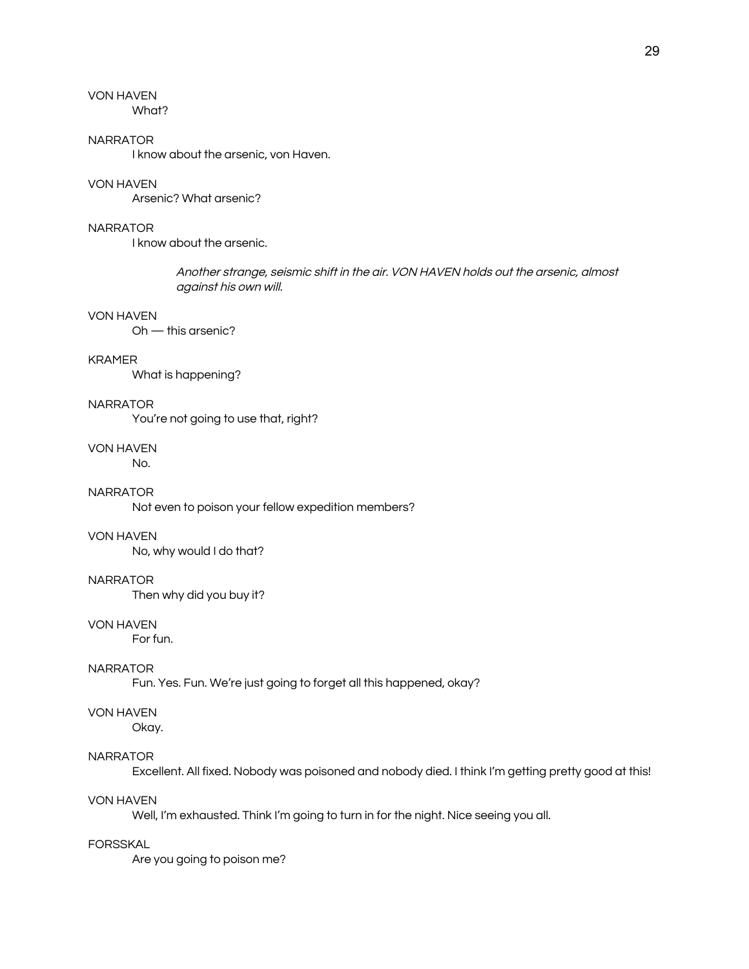What?

### NARRATOR

I know about the arsenic, von Haven.

### VON HAVEN

Arsenic? What arsenic?

### **NARRATOR**

I know about the arsenic.

Another strange, seismic shift in the air. VON HAVEN holds out the arsenic, almost against his own will.

# VON HAVEN

Oh — this arsenic?

### KRAMER

What is happening?

### NARRATOR

You're not going to use that, right?

### VON HAVEN

No.

# **NARRATOR**

Not even to poison your fellow expedition members?

# VON HAVEN

No, why would I do that?

### NARRATOR

Then why did you buy it?

#### VON HAVEN

For fun.

### NARRATOR

Fun. Yes. Fun. We're just going to forget all this happened, okay?

### VON HAVEN

Okay.

### NARRATOR

Excellent. All fixed. Nobody was poisoned and nobody died. I think I'm getting pretty good at this!

### VON HAVEN

Well, I'm exhausted. Think I'm going to turn in for the night. Nice seeing you all.

### FORSSKAL

Are you going to poison me?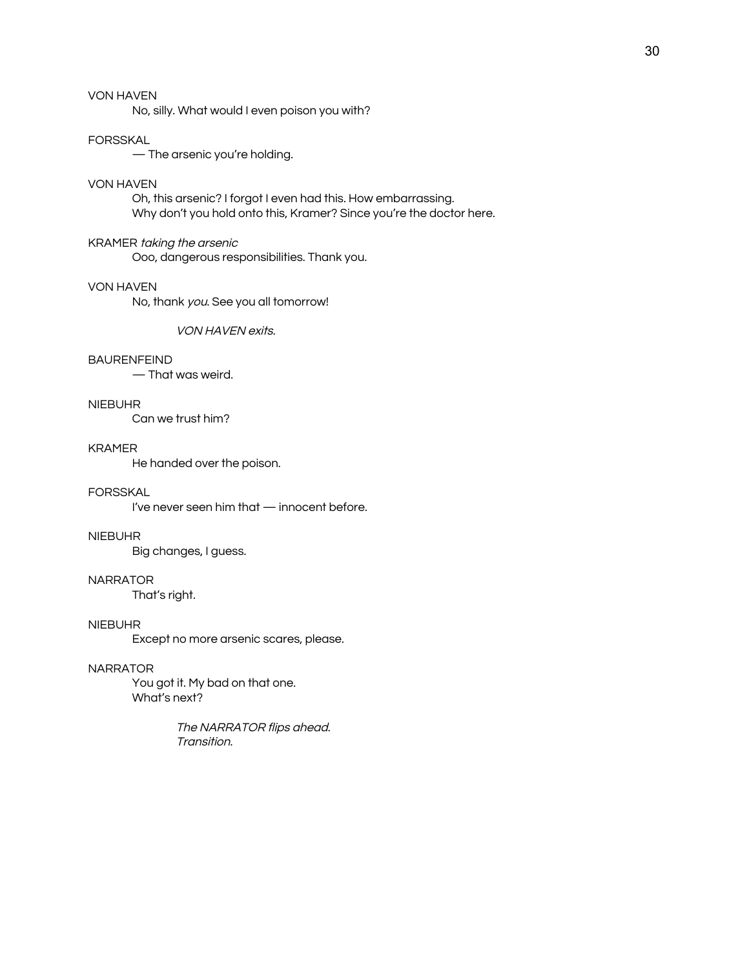No, silly. What would I even poison you with?

#### FORSSKAL

— The arsenic you're holding.

#### VON HAVEN

Oh, this arsenic? I forgot I even had this. How embarrassing. Why don't you hold onto this, Kramer? Since you're the doctor here.

# KRAMER taking the arsenic

Ooo, dangerous responsibilities. Thank you.

### VON HAVEN

No, thank you. See you all tomorrow!

VON HAVEN exits.

### BAURENFEIND

— That was weird.

### NIEBUHR

Can we trust him?

# KRAMER

He handed over the poison.

## FORSSKAL

I've never seen him that — innocent before.

#### NIEBUHR

Big changes, I guess.

### NARRATOR

That's right.

#### NIEBUHR

Except no more arsenic scares, please.

### NARRATOR

You got it. My bad on that one. What's next?

> The NARRATOR flips ahead. Transition.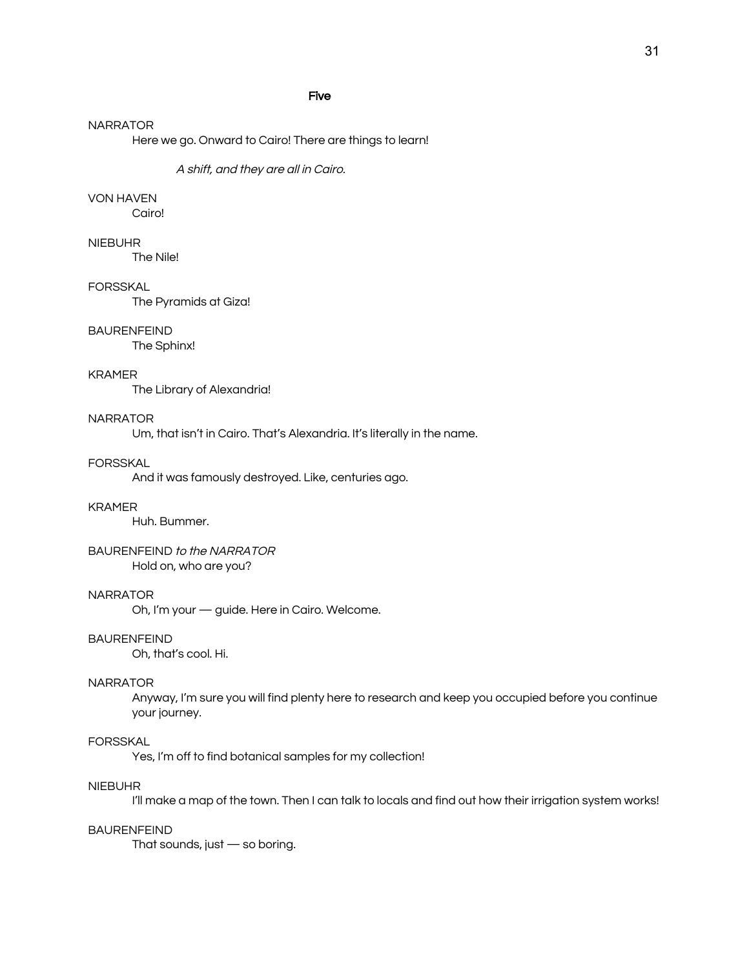### Five

#### NARRATOR

Here we go. Onward to Cairo! There are things to learn!

A shift, and they are all in Cairo.

### VON HAVEN

Cairo!

# NIEBUHR

The Nile!

### FORSSKAL

The Pyramids at Giza!

#### BAURENFEIND

The Sphinx!

#### KRAMER

The Library of Alexandria!

# NARRATOR

Um, that isn't in Cairo. That's Alexandria. It's literally in the name.

#### FORSSKAL

And it was famously destroyed. Like, centuries ago.

#### KRAMER

Huh. Bummer.

# BAURENFEIND to the NARRATOR

Hold on, who are you?

### NARRATOR

Oh, I'm your — guide. Here in Cairo. Welcome.

### BAURENFEIND

Oh, that's cool. Hi.

#### NARRATOR

Anyway, I'm sure you will find plenty here to research and keep you occupied before you continue your journey.

### FORSSKAL

Yes, I'm off to find botanical samples for my collection!

### NIEBUHR

I'll make a map of the town. Then I can talk to locals and find out how their irrigation system works!

### BAURENFEIND

That sounds, just — so boring.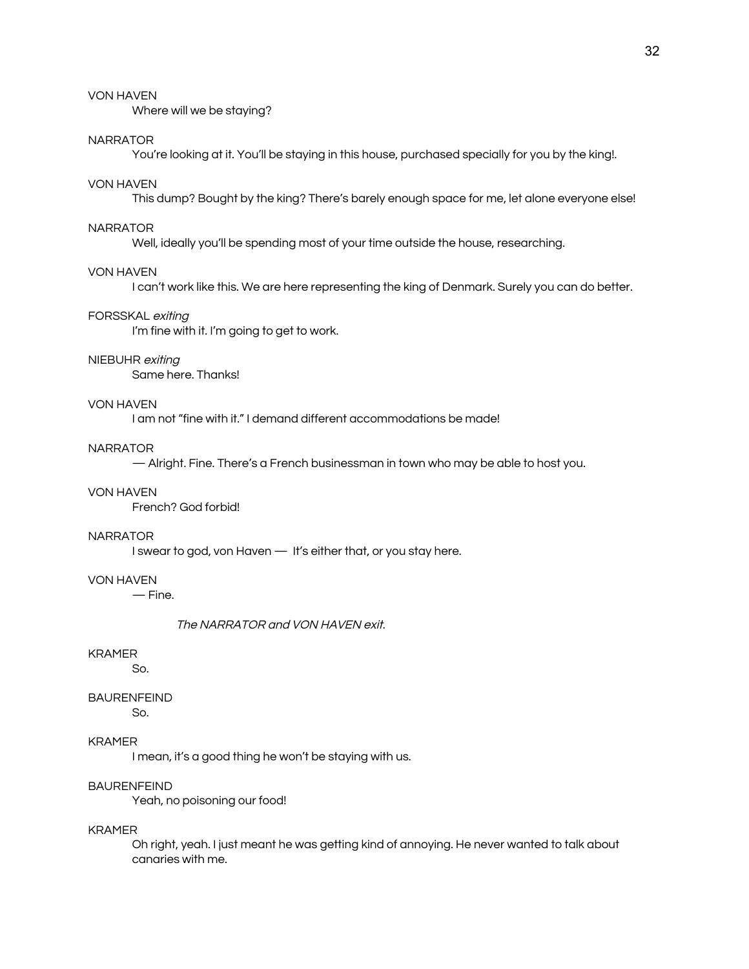Where will we be staying?

### NARRATOR

You're looking at it. You'll be staying in this house, purchased specially for you by the king!.

#### VON HAVEN

This dump? Bought by the king? There's barely enough space for me, let alone everyone else!

#### NARRATOR

Well, ideally you'll be spending most of your time outside the house, researching.

#### VON HAVEN

I can't work like this. We are here representing the king of Denmark. Surely you can do better.

### FORSSKAL exiting

I'm fine with it. I'm going to get to work.

### NIEBUHR exiting

Same here. Thanks!

### VON HAVEN

I am not "fine with it." I demand different accommodations be made!

### NARRATOR

— Alright. Fine. There's a French businessman in town who may be able to host you.

### VON HAVEN

French? God forbid!

#### NARRATOR

I swear to god, von Haven — It's either that, or you stay here.

# VON HAVEN

— Fine.

#### The NARRATOR and VON HAVEN exit.

### KRAMER

So.

### BAURENFEIND

So.

# KRAMER

I mean, it's a good thing he won't be staying with us.

### BAURENFEIND

Yeah, no poisoning our food!

### KRAMER

Oh right, yeah. I just meant he was getting kind of annoying. He never wanted to talk about canaries with me.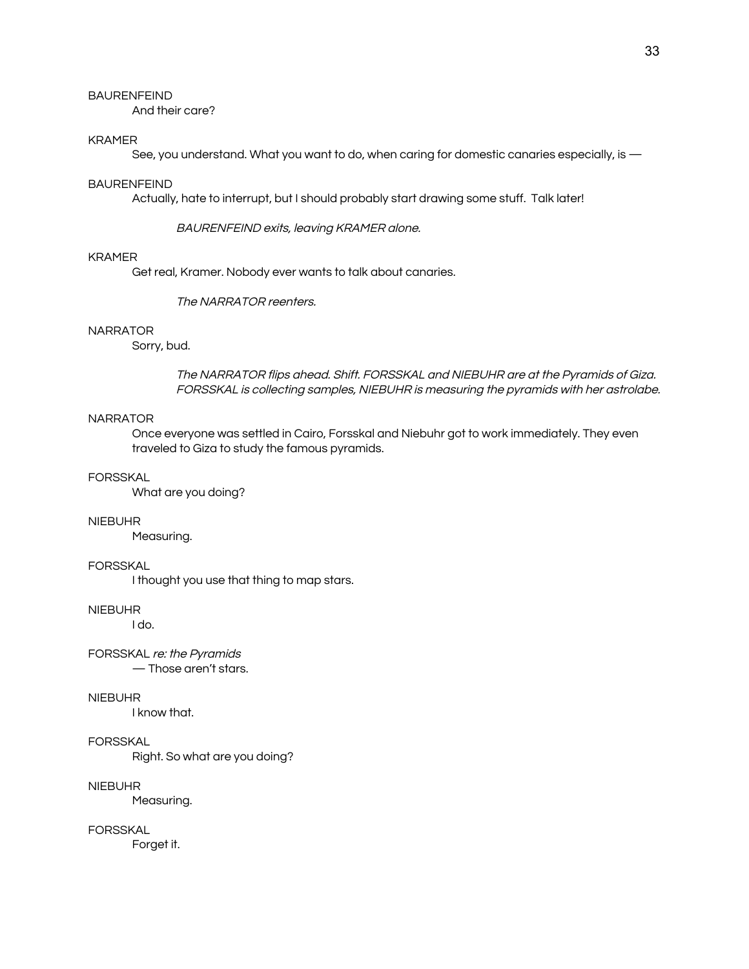### BAURENFEIND

And their care?

### KRAMER

See, you understand. What you want to do, when caring for domestic canaries especially, is  $-$ 

#### BAURENFEIND

Actually, hate to interrupt, but I should probably start drawing some stuff. Talk later!

BAURENFEIND exits, leaving KRAMER alone.

### KRAMER

Get real, Kramer. Nobody ever wants to talk about canaries.

#### The NARRATOR reenters.

# NARRATOR

Sorry, bud.

The NARRATOR flips ahead. Shift. FORSSKAL and NIEBUHR are at the Pyramids of Giza. FORSSKAL is collecting samples, NIEBUHR is measuring the pyramids with her astrolabe.

# NARRATOR

Once everyone was settled in Cairo, Forsskal and Niebuhr got to work immediately. They even traveled to Giza to study the famous pyramids.

### FORSSKAL

What are you doing?

#### NIEBUHR

Measuring.

### FORSSKAL

I thought you use that thing to map stars.

### NIEBUHR

I do.

FORSSKAL re: the Pyramids — Those aren't stars.

#### NIEBUHR

I know that.

# FORSSKAL

Right. So what are you doing?

### NIEBUHR

Measuring.

FORSSKAL

Forget it.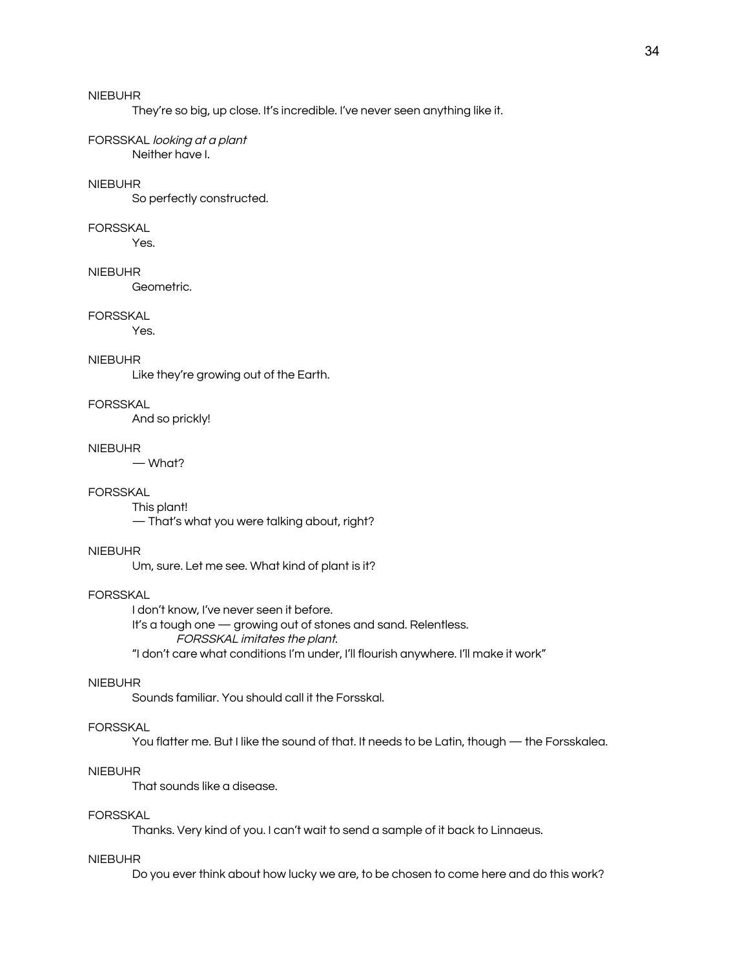They're so big, up close. It's incredible. I've never seen anything like it.

#### FORSSKAL looking at <sup>a</sup> plant Neither have I.

#### NIEBUHR

So perfectly constructed.

#### FORSSKAL

Yes.

### NIEBUHR

Geometric.

### FORSSKAL

Yes.

#### NIEBUHR

Like they're growing out of the Earth.

### FORSSKAL

And so prickly!

#### NIEBUHR

— What?

# FORSSKAL

This plant!

— That's what you were talking about, right?

### NIEBUHR

Um, sure. Let me see. What kind of plant is it?

### FORSSKAL

I don't know, I've never seen it before. It's a tough one — growing out of stones and sand. Relentless. FORSSKAL imitates the plant. "I don't care what conditions I'm under, I'll flourish anywhere. I'll make it work"

### NIEBUHR

Sounds familiar. You should call it the Forsskal.

### FORSSKAL

You flatter me. But I like the sound of that. It needs to be Latin, though — the Forsskalea.

### NIEBUHR

That sounds like a disease.

### FORSSKAL

Thanks. Very kind of you. I can't wait to send a sample of it back to Linnaeus.

#### NIEBUHR

Do you ever think about how lucky we are, to be chosen to come here and do this work?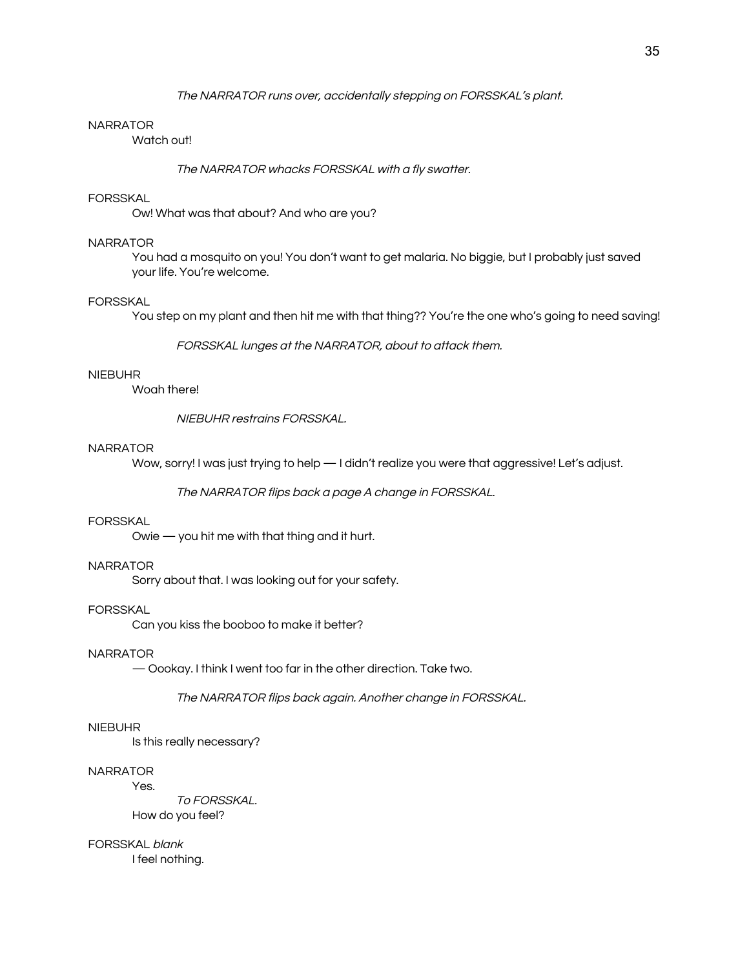### The NARRATOR runs over, accidentally stepping on FORSSKAL's plant.

### **NARRATOR**

Watch out!

The NARRATOR whacks FORSSKAL with <sup>a</sup> fly swatter.

### **FORSSKAL**

Ow! What was that about? And who are you?

### NARRATOR

You had a mosquito on you! You don't want to get malaria. No biggie, but I probably just saved your life. You're welcome.

#### FORSSKAL

You step on my plant and then hit me with that thing?? You're the one who's going to need saving!

FORSSKAL lunges at the NARRATOR, about to attack them.

#### NIEBUHR

Woah there!

NIEBUHR restrains FORSSKAL.

#### **NARRATOR**

Wow, sorry! I was just trying to help — I didn't realize you were that aggressive! Let's adjust.

The NARRATOR flips back <sup>a</sup> page A change in FORSSKAL.

### **FORSSKAL**

Owie — you hit me with that thing and it hurt.

### **NARRATOR**

Sorry about that. I was looking out for your safety.

#### FORSSKAL

Can you kiss the booboo to make it better?

### **NARRATOR**

— Oookay. I think I went too far in the other direction. Take two.

The NARRATOR flips back again. Another change in FORSSKAL.

### NIEBUHR

Is this really necessary?

### **NARRATOR**

To FORSSKAL. How do you feel?

FORSSKAL blank I feel nothing.

Yes.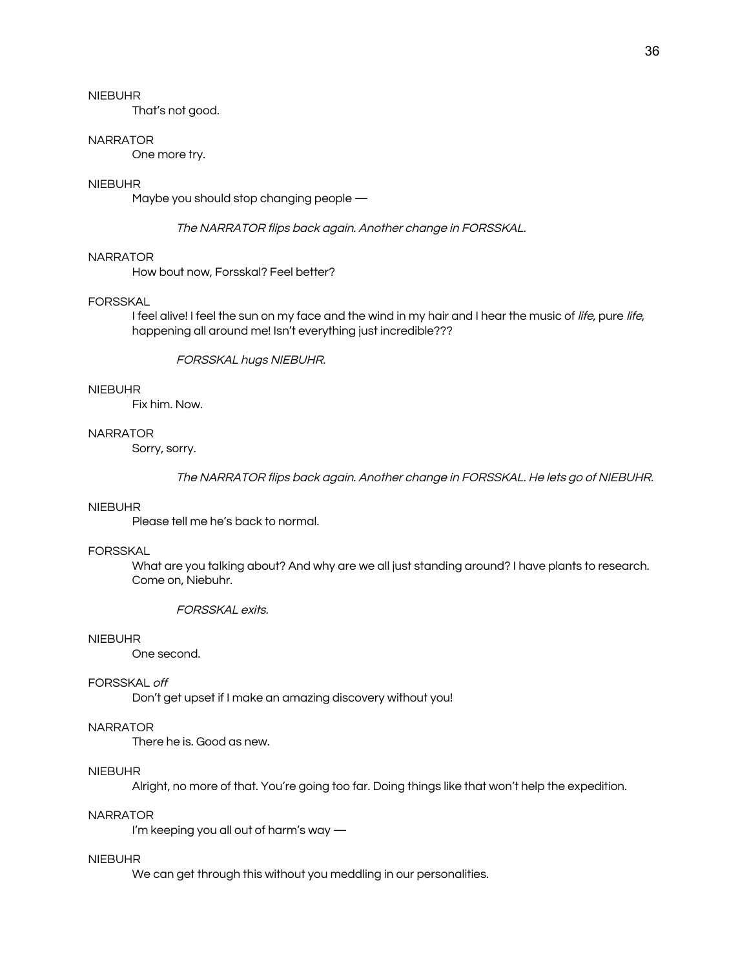That's not good.

#### **NARRATOR**

One more try.

### NIEBUHR

Maybe you should stop changing people —

The NARRATOR flips back again. Another change in FORSSKAL.

### NARRATOR

How bout now, Forsskal? Feel better?

#### FORSSKAL

I feel alive! I feel the sun on my face and the wind in my hair and I hear the music of life, pure life, happening all around me! Isn't everything just incredible???

### FORSSKAL hugs NIEBUHR.

#### NIEBUHR

Fix him. Now.

### **NARRATOR**

Sorry, sorry.

The NARRATOR flips back again. Another change in FORSSKAL. He lets go of NIEBUHR.

#### NIEBUHR

Please tell me he's back to normal.

### FORSSKAL

What are you talking about? And why are we all just standing around? I have plants to research. Come on, Niebuhr.

FORSSKAL exits.

### NIEBUHR

One second.

### FORSSKAL off

Don't get upset if I make an amazing discovery without you!

### **NARRATOR**

There he is. Good as new.

### NIEBUHR

Alright, no more of that. You're going too far. Doing things like that won't help the expedition.

### NARRATOR

I'm keeping you all out of harm's way —

#### NIEBUHR

We can get through this without you meddling in our personalities.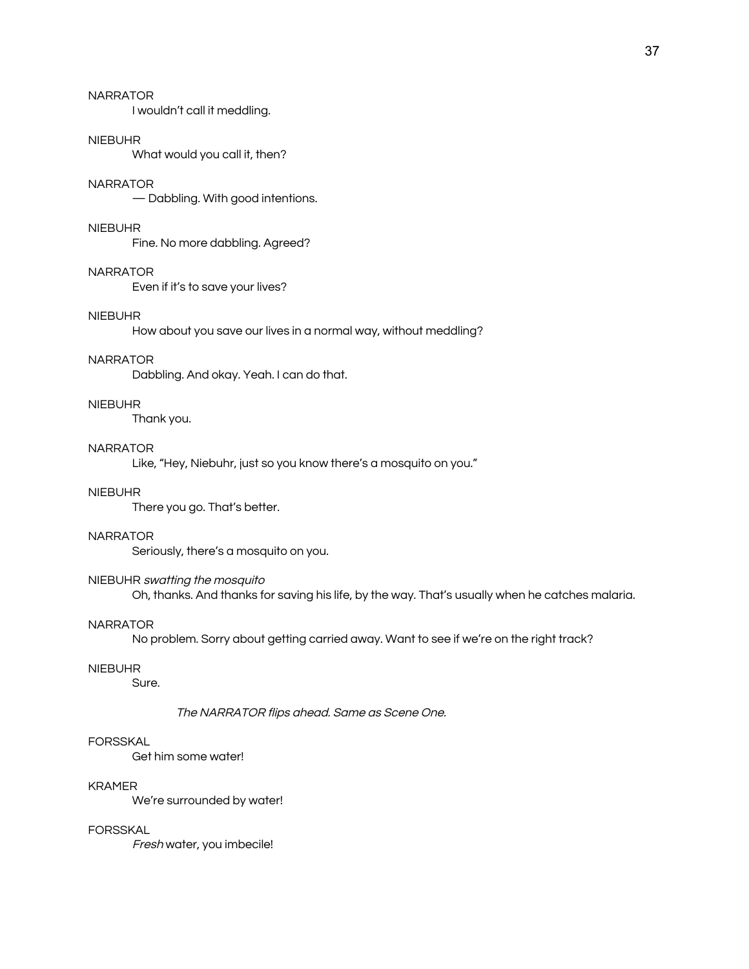# NARRATOR

I wouldn't call it meddling.

#### NIEBUHR

What would you call it, then?

#### **NARRATOR**

— Dabbling. With good intentions.

### NIEBUHR

Fine. No more dabbling. Agreed?

#### NARRATOR

Even if it's to save your lives?

### NIEBUHR

How about you save our lives in a normal way, without meddling?

#### NARRATOR

Dabbling. And okay. Yeah. I can do that.

### NIEBUHR

Thank you.

### **NARRATOR**

Like, "Hey, Niebuhr, just so you know there's a mosquito on you."

## NIEBUHR

There you go. That's better.

#### NARRATOR

Seriously, there's a mosquito on you.

### NIEBUHR swatting the mosquito

Oh, thanks. And thanks for saving his life, by the way. That's usually when he catches malaria.

### **NARRATOR**

No problem. Sorry about getting carried away. Want to see if we're on the right track?

### NIEBUHR

Sure.

#### The NARRATOR flips ahead. Same as Scene One.

### FORSSKAL

Get him some water!

#### KRAMER

We're surrounded by water!

### FORSSKAL

Fresh water, you imbecile!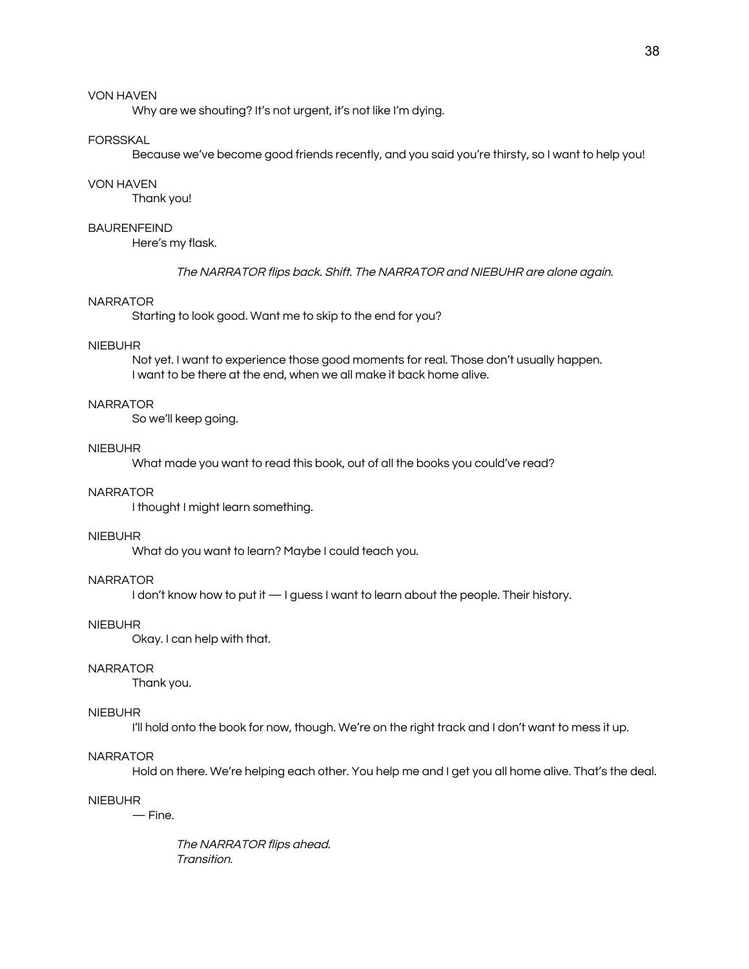Why are we shouting? It's not urgent, it's not like I'm dying.

### FORSSKAL

Because we've become good friends recently, and you said you're thirsty, so I want to help you!

#### VON HAVEN

Thank you!

### BAURENFEIND

Here's my flask.

The NARRATOR flips back. Shift. The NARRATOR and NIEBUHR are alone again.

#### NARRATOR

Starting to look good. Want me to skip to the end for you?

#### NIEBUHR

Not yet. I want to experience those good moments for real. Those don't usually happen. I want to be there at the end, when we all make it back home alive.

### NARRATOR

So we'll keep going.

### NIEBUHR

What made you want to read this book, out of all the books you could've read?

### NARRATOR

I thought I might learn something.

#### NIEBUHR

What do you want to learn? Maybe I could teach you.

### NARRATOR

I don't know how to put it  $-1$  guess I want to learn about the people. Their history.

#### NIEBUHR

Okay. I can help with that.

#### NARRATOR

Thank you.

#### NIEBUHR

I'll hold onto the book for now, though. We're on the right track and I don't want to mess it up.

#### NARRATOR

Hold on there. We're helping each other. You help me and I get you all home alive. That's the deal.

### NIEBUHR

— Fine.

The NARRATOR flips ahead. Transition.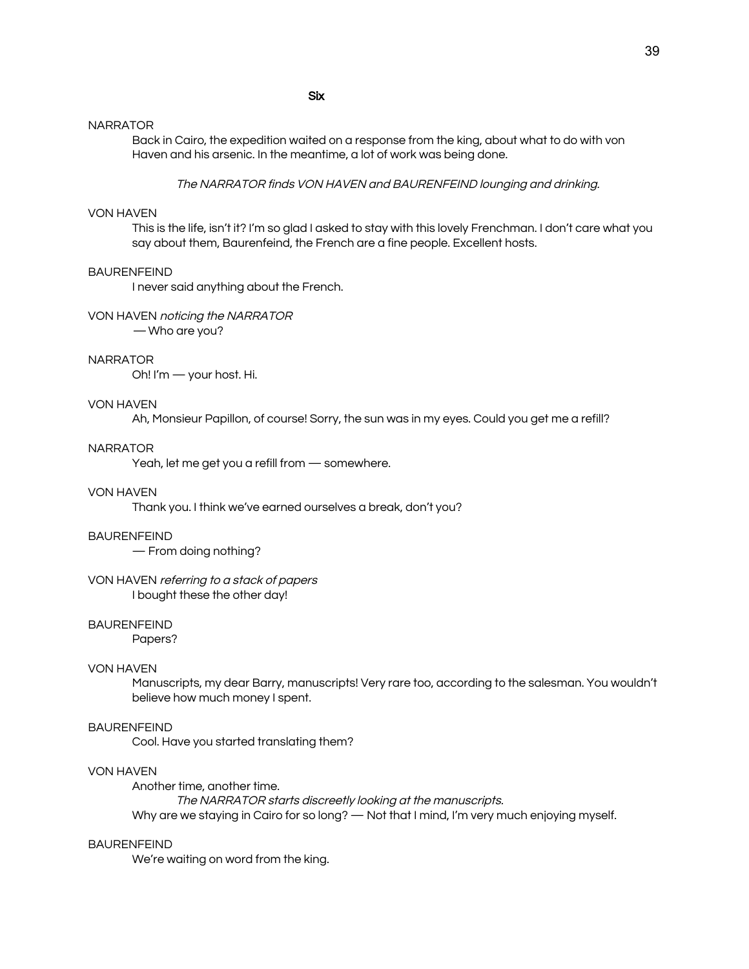### Six

#### NARRATOR

Back in Cairo, the expedition waited on a response from the king, about what to do with von Haven and his arsenic. In the meantime, a lot of work was being done.

The NARRATOR finds VON HAVEN and BAURENFEIND lounging and drinking.

### VON HAVEN

This is the life, isn't it? I'm so glad I asked to stay with this lovely Frenchman. I don't care what you say about them, Baurenfeind, the French are a fine people. Excellent hosts.

#### **BAURENFEIND**

I never said anything about the French.

### VON HAVEN noticing the NARRATOR

— Who are you?

#### NARRATOR

Oh! I'm — your host. Hi.

### VON HAVEN

Ah, Monsieur Papillon, of course! Sorry, the sun was in my eyes. Could you get me a refill?

### NARRATOR

Yeah, let me get you a refill from — somewhere.

### VON HAVEN

Thank you. I think we've earned ourselves a break, don't you?

#### BAURENFEIND

— From doing nothing?

#### VON HAVEN referring to <sup>a</sup> stack of papers I bought these the other day!

#### **BAURENFEIND**

Papers?

#### VON HAVEN

Manuscripts, my dear Barry, manuscripts! Very rare too, according to the salesman. You wouldn't believe how much money I spent.

### BAURENFEIND

Cool. Have you started translating them?

### VON HAVEN

Another time, another time. The NARRATOR starts discreetly looking at the manuscripts. Why are we staying in Cairo for so long? — Not that I mind, I'm very much enjoying myself.

#### BAURENFEIND

We're waiting on word from the king.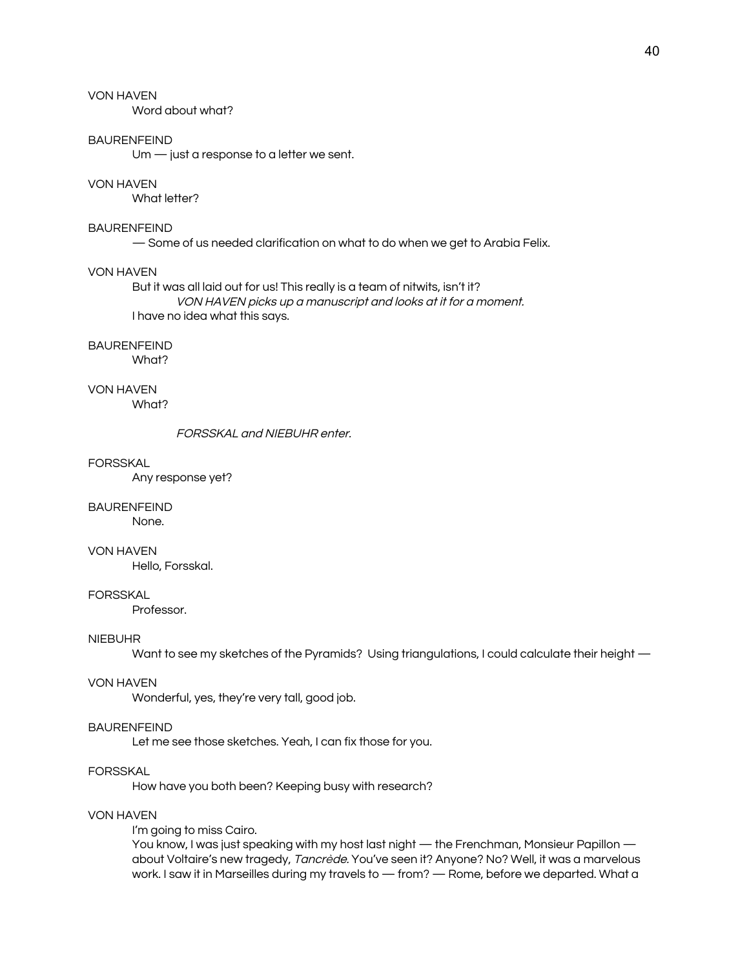Word about what?

### BAURENFEIND

Um — just a response to a letter we sent.

#### VON HAVEN

What letter?

# BAURENFEIND

— Some of us needed clarification on what to do when we get to Arabia Felix.

#### VON HAVEN

But it was all laid out for us! This really is a team of nitwits, isn't it? VON HAVEN picks up <sup>a</sup> manuscript and looks at it for <sup>a</sup> moment. I have no idea what this says.

#### BAURENFEIND

What?

### VON HAVEN

What?

#### FORSSKAL and NIEBUHR enter.

#### FORSSKAL

Any response yet?

#### BAURENFEIND

None.

### VON HAVEN

Hello, Forsskal.

#### FORSSKAL

Professor.

#### NIEBUHR

Want to see my sketches of the Pyramids? Using triangulations, I could calculate their height —

#### VON HAVEN

Wonderful, yes, they're very tall, good job.

#### BAURENFEIND

Let me see those sketches. Yeah, I can fix those for you.

#### FORSSKAL

How have you both been? Keeping busy with research?

### VON HAVEN

#### I'm going to miss Cairo.

You know, I was just speaking with my host last night — the Frenchman, Monsieur Papillon about Voltaire's new tragedy, Tancrède. You've seen it? Anyone? No? Well, it was a marvelous work. I saw it in Marseilles during my travels to — from? — Rome, before we departed. What a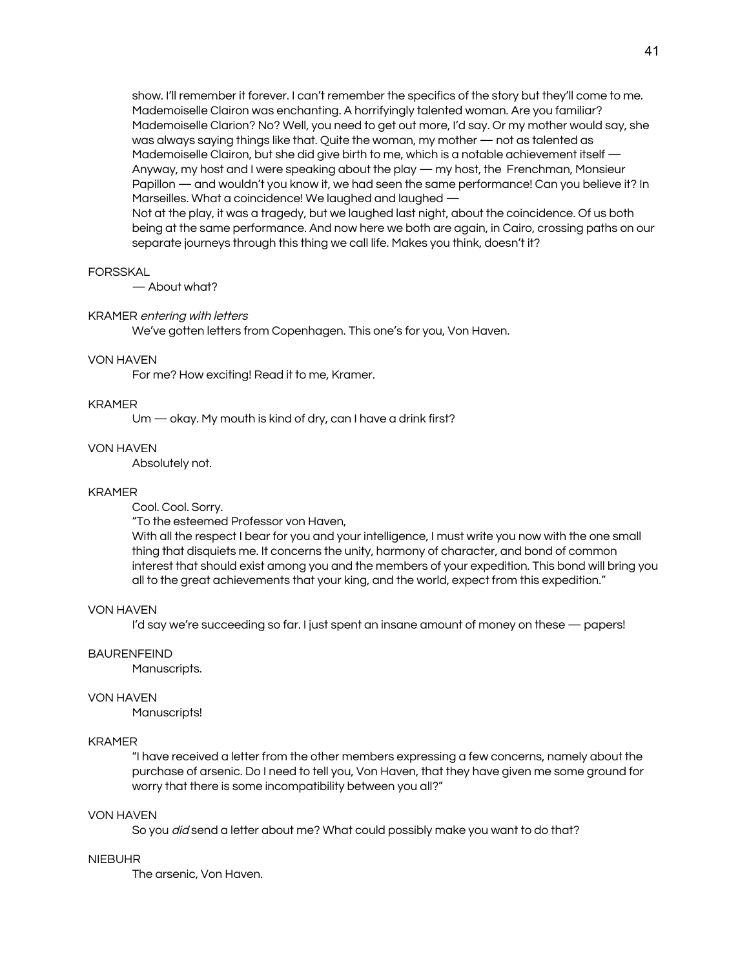show. I'll remember it forever. I can't remember the specifics of the story but they'll come to me. Mademoiselle Clairon was enchanting. A horrifyingly talented woman. Are you familiar? Mademoiselle Clarion? No? Well, you need to get out more, I'd say. Or my mother would say, she was always saying things like that. Quite the woman, my mother — not as talented as Mademoiselle Clairon, but she did give birth to me, which is a notable achievement itself -Anyway, my host and I were speaking about the play — my host, the Frenchman, Monsieur Papillon — and wouldn't you know it, we had seen the same performance! Can you believe it? In Marseilles. What a coincidence! We laughed and laughed — Not at the play, it was a tragedy, but we laughed last night, about the coincidence. Of us both being at the same performance. And now here we both are again, in Cairo, crossing paths on our separate journeys through this thing we call life. Makes you think, doesn't it?

### **FORSSKAL**

— About what?

#### KRAMER entering with letters

We've gotten letters from Copenhagen. This one's for you, Von Haven.

#### VON HAVEN

For me? How exciting! Read it to me, Kramer.

### KRAMER

Um — okay. My mouth is kind of dry, can I have a drink first?

#### VON HAVEN

Absolutely not.

#### KRAMER

Cool. Cool. Sorry.

"To the esteemed Professor von Haven,

With all the respect I bear for you and your intelligence, I must write you now with the one small thing that disquiets me. It concerns the unity, harmony of character, and bond of common interest that should exist among you and the members of your expedition. This bond will bring you all to the great achievements that your king, and the world, expect from this expedition."

#### VON HAVEN

I'd say we're succeeding so far. I just spent an insane amount of money on these — papers!

### BAURENFEIND

Manuscripts.

#### VON HAVEN

Manuscripts!

### KRAMER

"I have received a letter from the other members expressing a few concerns, namely about the purchase of arsenic. Do I need to tell you, Von Haven, that they have given me some ground for worry that there is some incompatibility between you all?"

### VON HAVEN

So you *did* send a letter about me? What could possibly make you want to do that?

#### NIEBUHR

The arsenic, Von Haven.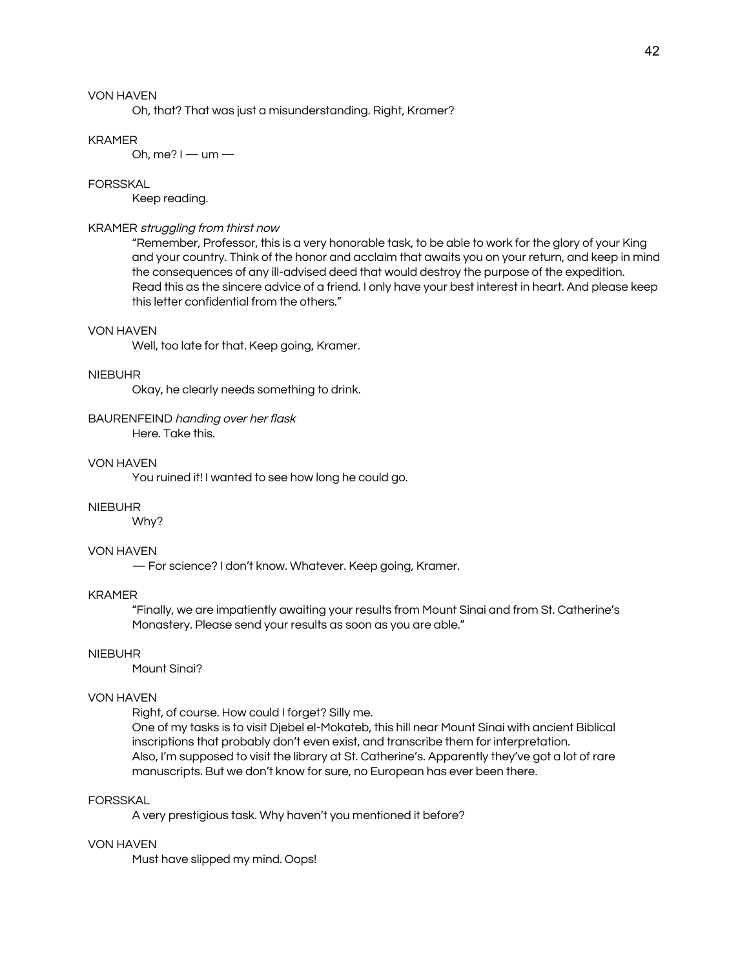Oh, that? That was just a misunderstanding. Right, Kramer?

#### KRAMER

Oh, me?  $I -$ um  $-$ 

### FORSSKAL

Keep reading.

### KRAMER struggling from thirst now

"Remember, Professor, this is a very honorable task, to be able to work for the glory of your King and your country. Think of the honor and acclaim that awaits you on your return, and keep in mind the consequences of any ill-advised deed that would destroy the purpose of the expedition. Read this as the sincere advice of a friend. I only have your best interest in heart. And please keep this letter confidential from the others."

### VON HAVEN

Well, too late for that. Keep going, Kramer.

#### NIEBUHR

Okay, he clearly needs something to drink.

BAURENFEIND handing over her flask

Here. Take this.

### VON HAVEN

You ruined it! I wanted to see how long he could go.

### NIEBUHR

Why?

### VON HAVEN

— For science? I don't know. Whatever. Keep going, Kramer.

### KRAMER

"Finally, we are impatiently awaiting your results from Mount Sinai and from St. Catherine's Monastery. Please send your results as soon as you are able."

### NIEBUHR

Mount Sinai?

#### VON HAVEN

Right, of course. How could I forget? Silly me. One of my tasks is to visit Djebel el-Mokateb, this hill near Mount Sinai with ancient Biblical inscriptions that probably don't even exist, and transcribe them for interpretation. Also, I'm supposed to visit the library at St. Catherine's. Apparently they've got a lot of rare manuscripts. But we don't know for sure, no European has ever been there.

### FORSSKAL

A very prestigious task. Why haven't you mentioned it before?

# VON HAVEN

Must have slipped my mind. Oops!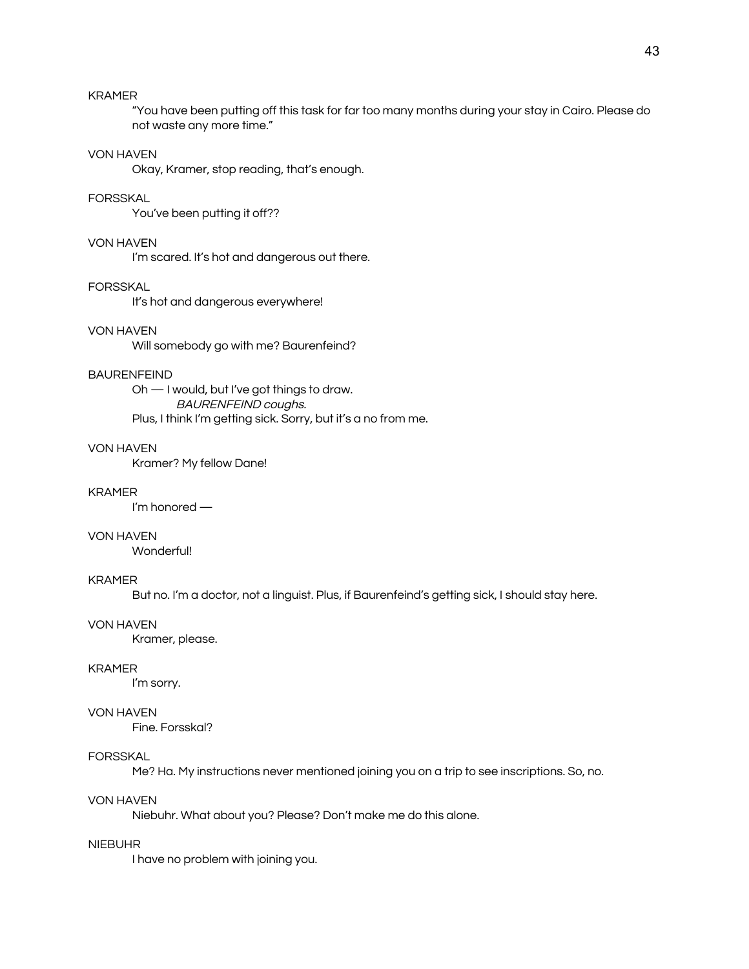# KRAMER

"You have been putting off this task for far too many months during your stay in Cairo. Please do not waste any more time."

### VON HAVEN

Okay, Kramer, stop reading, that's enough.

### FORSSKAL

You've been putting it off??

### VON HAVEN

I'm scared. It's hot and dangerous out there.

#### FORSSKAL

It's hot and dangerous everywhere!

# VON HAVEN

Will somebody go with me? Baurenfeind?

#### BAURENFEIND

Oh — I would, but I've got things to draw. BAURENFEIND coughs. Plus, I think I'm getting sick. Sorry, but it's a no from me.

### VON HAVEN

Kramer? My fellow Dane!

### KRAMER

I'm honored —

### VON HAVEN

Wonderful!

### KRAMER

But no. I'm a doctor, not a linguist. Plus, if Baurenfeind's getting sick, I should stay here.

#### VON HAVEN

Kramer, please.

#### KRAMER

I'm sorry.

### VON HAVEN

Fine. Forsskal?

#### **FORSSKAL**

Me? Ha. My instructions never mentioned joining you on a trip to see inscriptions. So, no.

### VON HAVEN

Niebuhr. What about you? Please? Don't make me do this alone.

### NIEBUHR

I have no problem with joining you.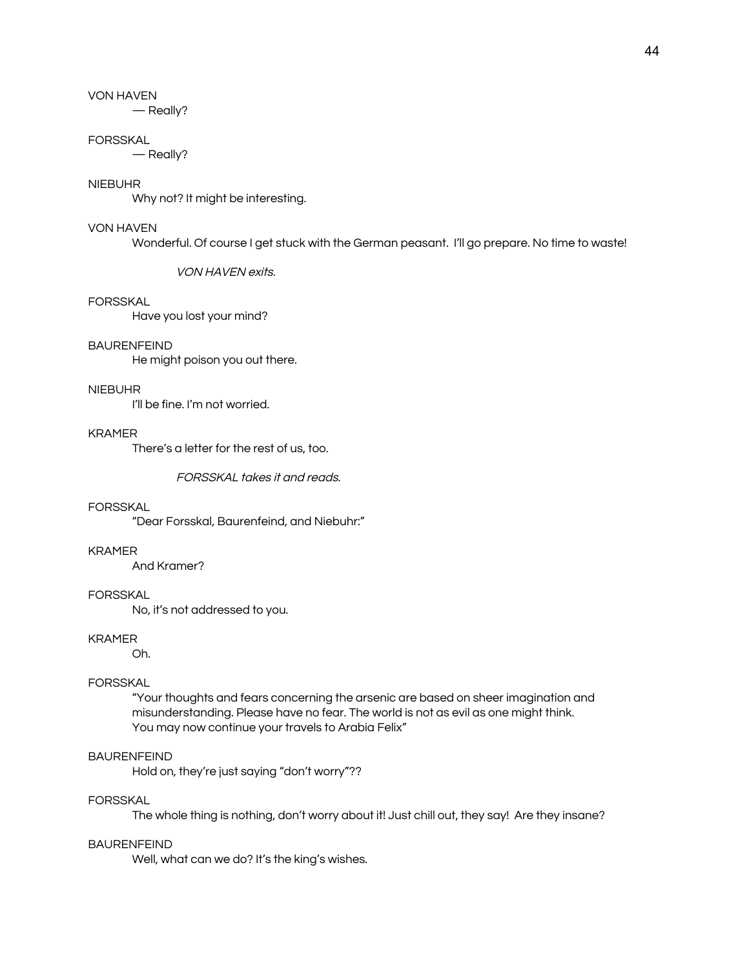— Really?

#### FORSSKAL

— Really?

### NIEBUHR

Why not? It might be interesting.

#### VON HAVEN

Wonderful. Of course I get stuck with the German peasant. I'll go prepare. No time to waste!

VON HAVEN exits.

#### FORSSKAL

Have you lost your mind?

#### BAURENFEIND

He might poison you out there.

#### NIEBUHR

I'll be fine. I'm not worried.

#### KRAMER

There's a letter for the rest of us, too.

FORSSKAL takes it and reads.

### FORSSKAL

"Dear Forsskal, Baurenfeind, and Niebuhr:"

### KRAMER

And Kramer?

### FORSSKAL

No, it's not addressed to you.

### KRAMER

Oh.

# FORSSKAL

"Your thoughts and fears concerning the arsenic are based on sheer imagination and misunderstanding. Please have no fear. The world is not as evil as one might think. You may now continue your travels to Arabia Felix"

### BAURENFEIND

Hold on, they're just saying "don't worry"??

### FORSSKAL

The whole thing is nothing, don't worry about it! Just chill out, they say! Are they insane?

#### BAURENFEIND

Well, what can we do? It's the king's wishes.